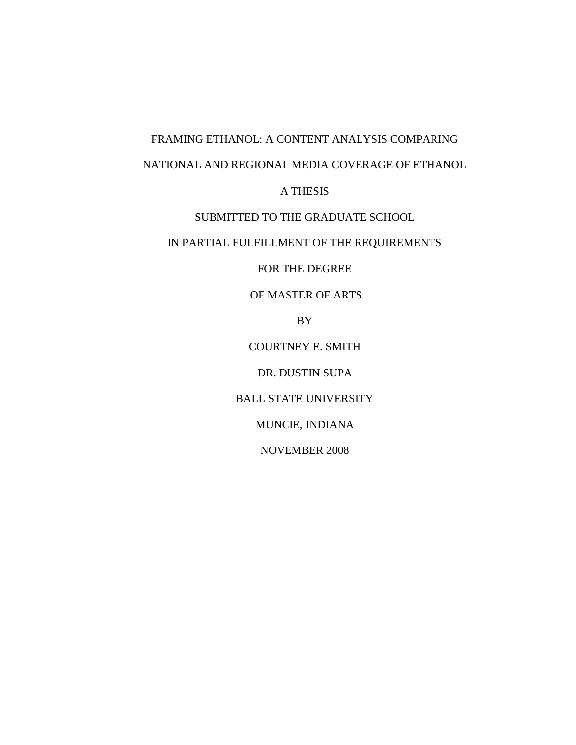# FRAMING ETHANOL: A CONTENT ANALYSIS COMPARING NATIONAL AND REGIONAL MEDIA COVERAGE OF ETHANOL

A THESIS

### SUBMITTED TO THE GRADUATE SCHOOL

## IN PARTIAL FULFILLMENT OF THE REQUIREMENTS

FOR THE DEGREE

OF MASTER OF ARTS

BY

COURTNEY E. SMITH

DR. DUSTIN SUPA

BALL STATE UNIVERSITY

MUNCIE, INDIANA

NOVEMBER 2008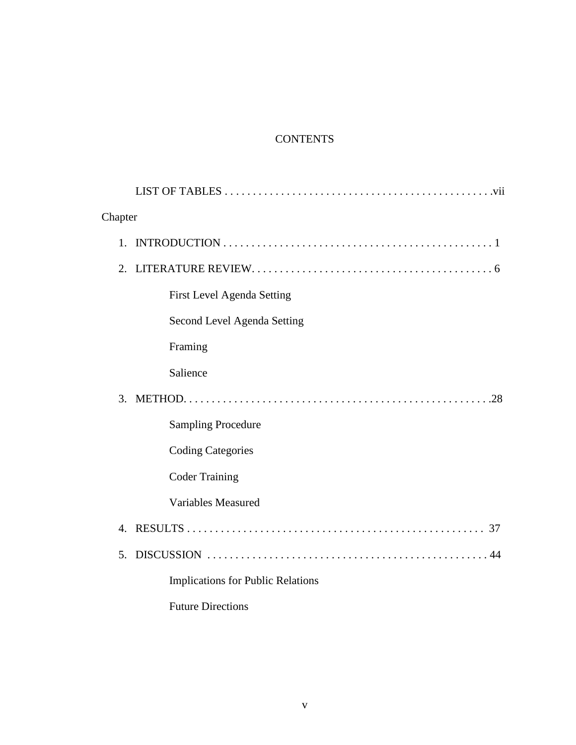# **CONTENTS**

| Chapter        |                                          |  |  |
|----------------|------------------------------------------|--|--|
| 1.             |                                          |  |  |
|                | 2.                                       |  |  |
|                | <b>First Level Agenda Setting</b>        |  |  |
|                | Second Level Agenda Setting              |  |  |
|                | Framing                                  |  |  |
|                | Salience                                 |  |  |
| 3.             |                                          |  |  |
|                | <b>Sampling Procedure</b>                |  |  |
|                | <b>Coding Categories</b>                 |  |  |
|                | <b>Coder Training</b>                    |  |  |
|                | <b>Variables Measured</b>                |  |  |
| $\overline{4}$ |                                          |  |  |
| 5.             |                                          |  |  |
|                | <b>Implications for Public Relations</b> |  |  |
|                | <b>Future Directions</b>                 |  |  |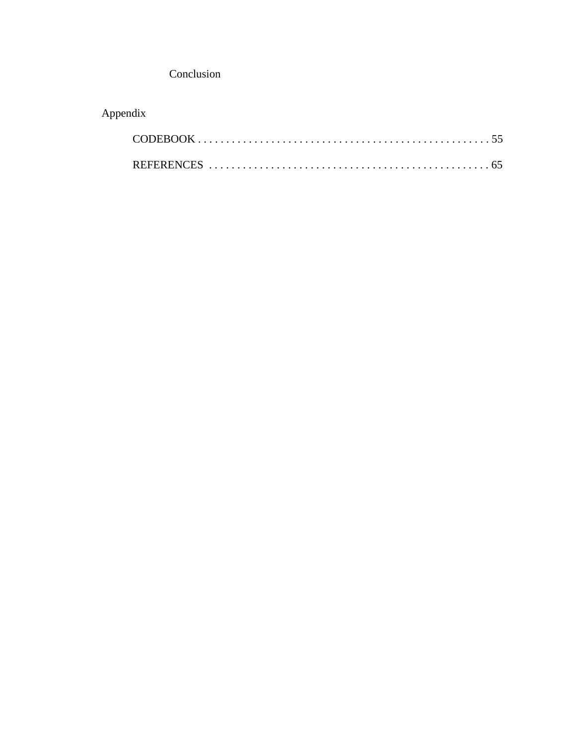Conclusion

# Appendix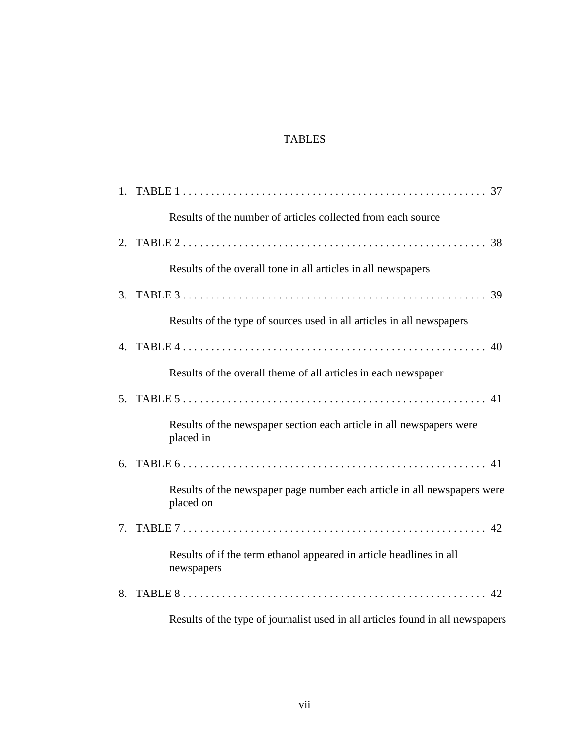### TABLES

| Results of the number of articles collected from each source                          |
|---------------------------------------------------------------------------------------|
|                                                                                       |
| Results of the overall tone in all articles in all newspapers                         |
|                                                                                       |
| Results of the type of sources used in all articles in all newspapers                 |
|                                                                                       |
| Results of the overall theme of all articles in each newspaper                        |
|                                                                                       |
| Results of the newspaper section each article in all newspapers were<br>placed in     |
|                                                                                       |
| Results of the newspaper page number each article in all newspapers were<br>placed on |
|                                                                                       |
| Results of if the term ethanol appeared in article headlines in all<br>newspapers     |
|                                                                                       |
| Results of the type of journalist used in all articles found in all newspapers        |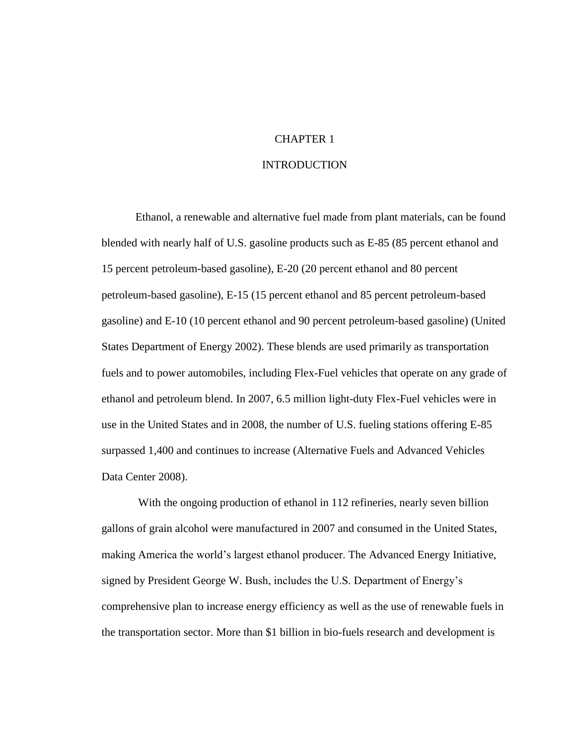#### CHAPTER 1

#### INTRODUCTION

Ethanol, a renewable and alternative fuel made from plant materials, can be found blended with nearly half of U.S. gasoline products such as E-85 (85 percent ethanol and 15 percent petroleum-based gasoline), E-20 (20 percent ethanol and 80 percent petroleum-based gasoline), E-15 (15 percent ethanol and 85 percent petroleum-based gasoline) and E-10 (10 percent ethanol and 90 percent petroleum-based gasoline) (United States Department of Energy 2002). These blends are used primarily as transportation fuels and to power automobiles, including Flex-Fuel vehicles that operate on any grade of ethanol and petroleum blend. In 2007, 6.5 million light-duty Flex-Fuel vehicles were in use in the United States and in 2008, the number of U.S. fueling stations offering E-85 surpassed 1,400 and continues to increase (Alternative Fuels and Advanced Vehicles Data Center 2008).

With the ongoing production of ethanol in 112 refineries, nearly seven billion gallons of grain alcohol were manufactured in 2007 and consumed in the United States, making America the world"s largest ethanol producer. The Advanced Energy Initiative, signed by President George W. Bush, includes the U.S. Department of Energy"s comprehensive plan to increase energy efficiency as well as the use of renewable fuels in the transportation sector. More than \$1 billion in bio-fuels research and development is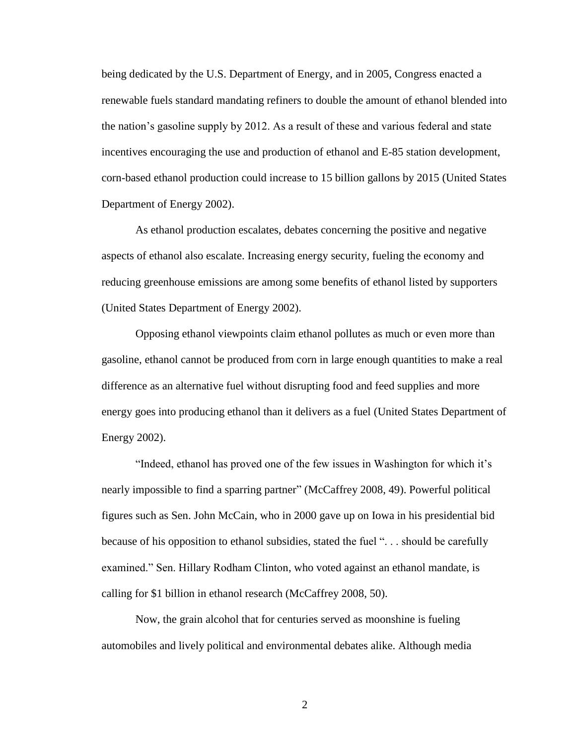being dedicated by the U.S. Department of Energy, and in 2005, Congress enacted a renewable fuels standard mandating refiners to double the amount of ethanol blended into the nation"s gasoline supply by 2012. As a result of these and various federal and state incentives encouraging the use and production of ethanol and E-85 station development, corn-based ethanol production could increase to 15 billion gallons by 2015 (United States Department of Energy 2002).

As ethanol production escalates, debates concerning the positive and negative aspects of ethanol also escalate. Increasing energy security, fueling the economy and reducing greenhouse emissions are among some benefits of ethanol listed by supporters (United States Department of Energy 2002).

Opposing ethanol viewpoints claim ethanol pollutes as much or even more than gasoline, ethanol cannot be produced from corn in large enough quantities to make a real difference as an alternative fuel without disrupting food and feed supplies and more energy goes into producing ethanol than it delivers as a fuel (United States Department of Energy 2002).

"Indeed, ethanol has proved one of the few issues in Washington for which it"s nearly impossible to find a sparring partner" (McCaffrey 2008, 49). Powerful political figures such as Sen. John McCain, who in 2000 gave up on Iowa in his presidential bid because of his opposition to ethanol subsidies, stated the fuel ". . . should be carefully examined." Sen. Hillary Rodham Clinton, who voted against an ethanol mandate, is calling for \$1 billion in ethanol research (McCaffrey 2008, 50).

Now, the grain alcohol that for centuries served as moonshine is fueling automobiles and lively political and environmental debates alike. Although media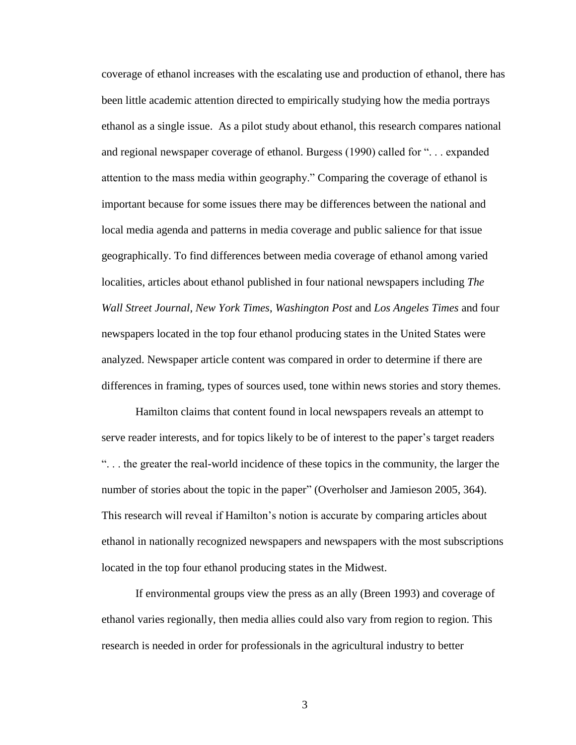coverage of ethanol increases with the escalating use and production of ethanol, there has been little academic attention directed to empirically studying how the media portrays ethanol as a single issue. As a pilot study about ethanol, this research compares national and regional newspaper coverage of ethanol. Burgess (1990) called for ". . . expanded attention to the mass media within geography." Comparing the coverage of ethanol is important because for some issues there may be differences between the national and local media agenda and patterns in media coverage and public salience for that issue geographically. To find differences between media coverage of ethanol among varied localities, articles about ethanol published in four national newspapers including *The Wall Street Journal*, *New York Times*, *Washington Post* and *Los Angeles Times* and four newspapers located in the top four ethanol producing states in the United States were analyzed. Newspaper article content was compared in order to determine if there are differences in framing, types of sources used, tone within news stories and story themes.

Hamilton claims that content found in local newspapers reveals an attempt to serve reader interests, and for topics likely to be of interest to the paper's target readers ". . . the greater the real-world incidence of these topics in the community, the larger the number of stories about the topic in the paper" (Overholser and Jamieson 2005, 364). This research will reveal if Hamilton"s notion is accurate by comparing articles about ethanol in nationally recognized newspapers and newspapers with the most subscriptions located in the top four ethanol producing states in the Midwest.

If environmental groups view the press as an ally (Breen 1993) and coverage of ethanol varies regionally, then media allies could also vary from region to region. This research is needed in order for professionals in the agricultural industry to better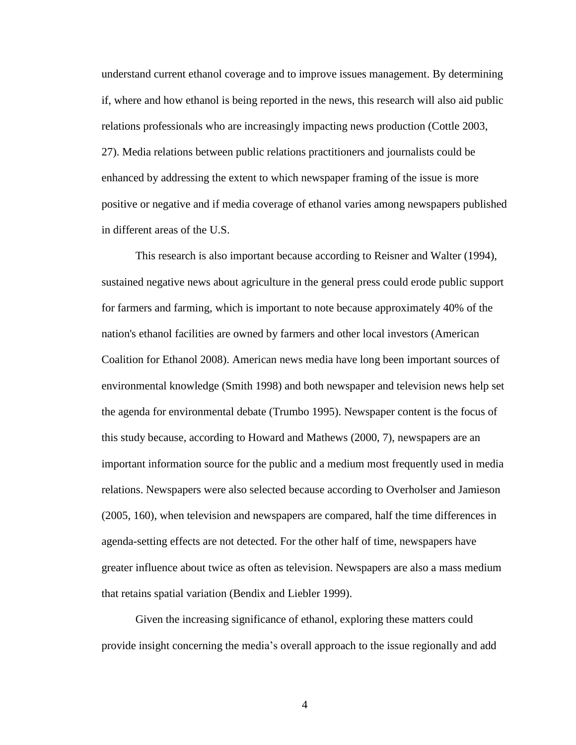understand current ethanol coverage and to improve issues management. By determining if, where and how ethanol is being reported in the news, this research will also aid public relations professionals who are increasingly impacting news production (Cottle 2003, 27). Media relations between public relations practitioners and journalists could be enhanced by addressing the extent to which newspaper framing of the issue is more positive or negative and if media coverage of ethanol varies among newspapers published in different areas of the U.S.

This research is also important because according to Reisner and Walter (1994), sustained negative news about agriculture in the general press could erode public support for farmers and farming, which is important to note because approximately 40% of the nation's ethanol facilities are owned by farmers and other local investors (American Coalition for Ethanol 2008). American news media have long been important sources of environmental knowledge (Smith 1998) and both newspaper and television news help set the agenda for environmental debate (Trumbo 1995). Newspaper content is the focus of this study because, according to Howard and Mathews (2000, 7), newspapers are an important information source for the public and a medium most frequently used in media relations. Newspapers were also selected because according to Overholser and Jamieson (2005, 160), when television and newspapers are compared, half the time differences in agenda-setting effects are not detected. For the other half of time, newspapers have greater influence about twice as often as television. Newspapers are also a mass medium that retains spatial variation (Bendix and Liebler 1999).

Given the increasing significance of ethanol, exploring these matters could provide insight concerning the media"s overall approach to the issue regionally and add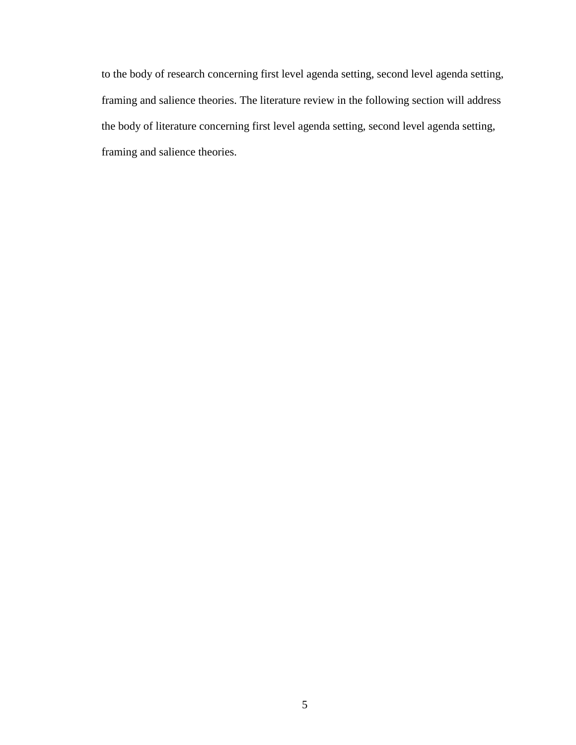to the body of research concerning first level agenda setting, second level agenda setting, framing and salience theories. The literature review in the following section will address the body of literature concerning first level agenda setting, second level agenda setting, framing and salience theories.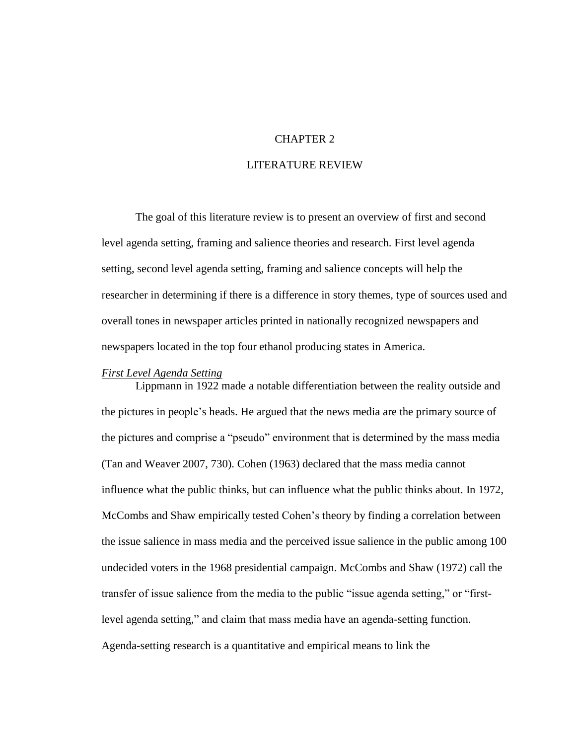#### CHAPTER 2

#### LITERATURE REVIEW

The goal of this literature review is to present an overview of first and second level agenda setting, framing and salience theories and research. First level agenda setting, second level agenda setting, framing and salience concepts will help the researcher in determining if there is a difference in story themes, type of sources used and overall tones in newspaper articles printed in nationally recognized newspapers and newspapers located in the top four ethanol producing states in America.

#### *First Level Agenda Setting*

Lippmann in 1922 made a notable differentiation between the reality outside and the pictures in people"s heads. He argued that the news media are the primary source of the pictures and comprise a "pseudo" environment that is determined by the mass media (Tan and Weaver 2007, 730). Cohen (1963) declared that the mass media cannot influence what the public thinks, but can influence what the public thinks about. In 1972, McCombs and Shaw empirically tested Cohen"s theory by finding a correlation between the issue salience in mass media and the perceived issue salience in the public among 100 undecided voters in the 1968 presidential campaign. McCombs and Shaw (1972) call the transfer of issue salience from the media to the public "issue agenda setting," or "firstlevel agenda setting," and claim that mass media have an agenda-setting function. Agenda-setting research is a quantitative and empirical means to link the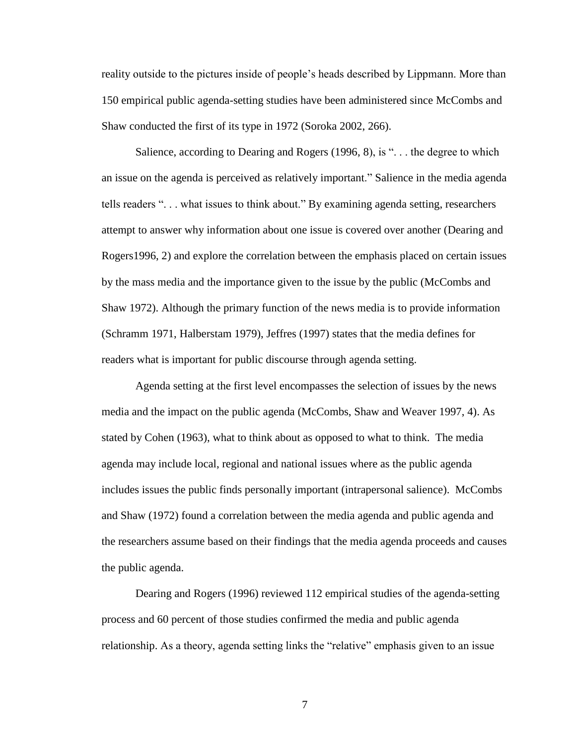reality outside to the pictures inside of people"s heads described by Lippmann. More than 150 empirical public agenda-setting studies have been administered since McCombs and Shaw conducted the first of its type in 1972 (Soroka 2002, 266).

Salience, according to Dearing and Rogers (1996, 8), is "... the degree to which an issue on the agenda is perceived as relatively important." Salience in the media agenda tells readers ". . . what issues to think about." By examining agenda setting, researchers attempt to answer why information about one issue is covered over another (Dearing and Rogers1996, 2) and explore the correlation between the emphasis placed on certain issues by the mass media and the importance given to the issue by the public (McCombs and Shaw 1972). Although the primary function of the news media is to provide information (Schramm 1971, Halberstam 1979), Jeffres (1997) states that the media defines for readers what is important for public discourse through agenda setting.

Agenda setting at the first level encompasses the selection of issues by the news media and the impact on the public agenda (McCombs, Shaw and Weaver 1997, 4). As stated by Cohen (1963), what to think about as opposed to what to think. The media agenda may include local, regional and national issues where as the public agenda includes issues the public finds personally important (intrapersonal salience). McCombs and Shaw (1972) found a correlation between the media agenda and public agenda and the researchers assume based on their findings that the media agenda proceeds and causes the public agenda.

Dearing and Rogers (1996) reviewed 112 empirical studies of the agenda-setting process and 60 percent of those studies confirmed the media and public agenda relationship. As a theory, agenda setting links the "relative" emphasis given to an issue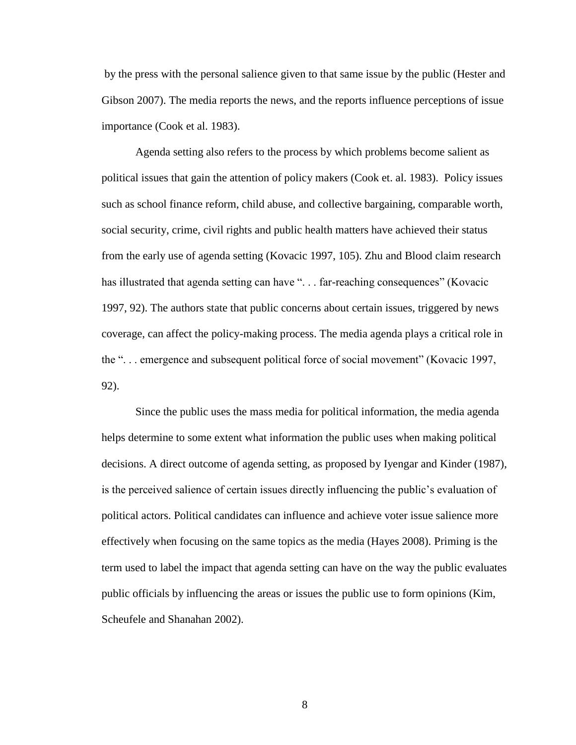by the press with the personal salience given to that same issue by the public (Hester and Gibson 2007). The media reports the news, and the reports influence perceptions of issue importance (Cook et al. 1983).

Agenda setting also refers to the process by which problems become salient as political issues that gain the attention of policy makers (Cook et. al. 1983). Policy issues such as school finance reform, child abuse, and collective bargaining, comparable worth, social security, crime, civil rights and public health matters have achieved their status from the early use of agenda setting (Kovacic 1997, 105). Zhu and Blood claim research has illustrated that agenda setting can have "... far-reaching consequences" (Kovacic 1997, 92). The authors state that public concerns about certain issues, triggered by news coverage, can affect the policy-making process. The media agenda plays a critical role in the ". . . emergence and subsequent political force of social movement" (Kovacic 1997, 92).

Since the public uses the mass media for political information, the media agenda helps determine to some extent what information the public uses when making political decisions. A direct outcome of agenda setting, as proposed by Iyengar and Kinder (1987), is the perceived salience of certain issues directly influencing the public"s evaluation of political actors. Political candidates can influence and achieve voter issue salience more effectively when focusing on the same topics as the media (Hayes 2008). Priming is the term used to label the impact that agenda setting can have on the way the public evaluates public officials by influencing the areas or issues the public use to form opinions (Kim, Scheufele and Shanahan 2002).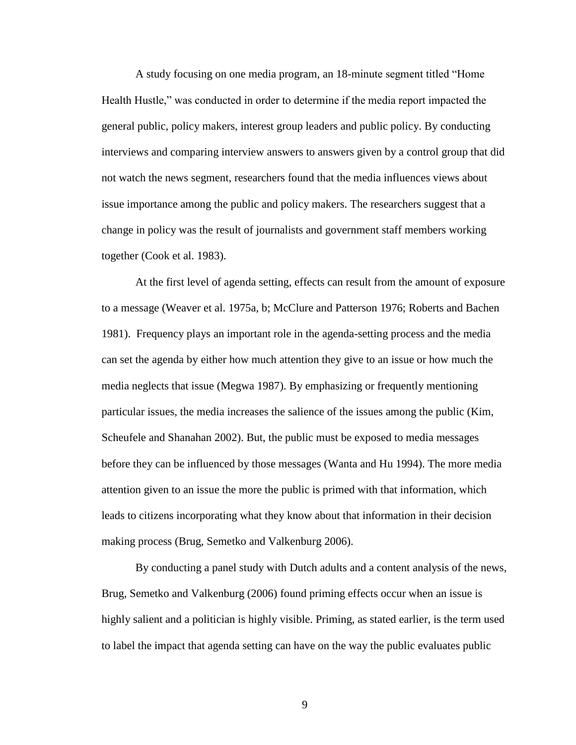A study focusing on one media program, an 18-minute segment titled "Home Health Hustle," was conducted in order to determine if the media report impacted the general public, policy makers, interest group leaders and public policy. By conducting interviews and comparing interview answers to answers given by a control group that did not watch the news segment, researchers found that the media influences views about issue importance among the public and policy makers. The researchers suggest that a change in policy was the result of journalists and government staff members working together (Cook et al. 1983).

At the first level of agenda setting, effects can result from the amount of exposure to a message (Weaver et al. 1975a, b; McClure and Patterson 1976; Roberts and Bachen 1981). Frequency plays an important role in the agenda-setting process and the media can set the agenda by either how much attention they give to an issue or how much the media neglects that issue (Megwa 1987). By emphasizing or frequently mentioning particular issues, the media increases the salience of the issues among the public (Kim, Scheufele and Shanahan 2002). But, the public must be exposed to media messages before they can be influenced by those messages (Wanta and Hu 1994). The more media attention given to an issue the more the public is primed with that information, which leads to citizens incorporating what they know about that information in their decision making process (Brug, Semetko and Valkenburg 2006).

By conducting a panel study with Dutch adults and a content analysis of the news, Brug, Semetko and Valkenburg (2006) found priming effects occur when an issue is highly salient and a politician is highly visible. Priming, as stated earlier, is the term used to label the impact that agenda setting can have on the way the public evaluates public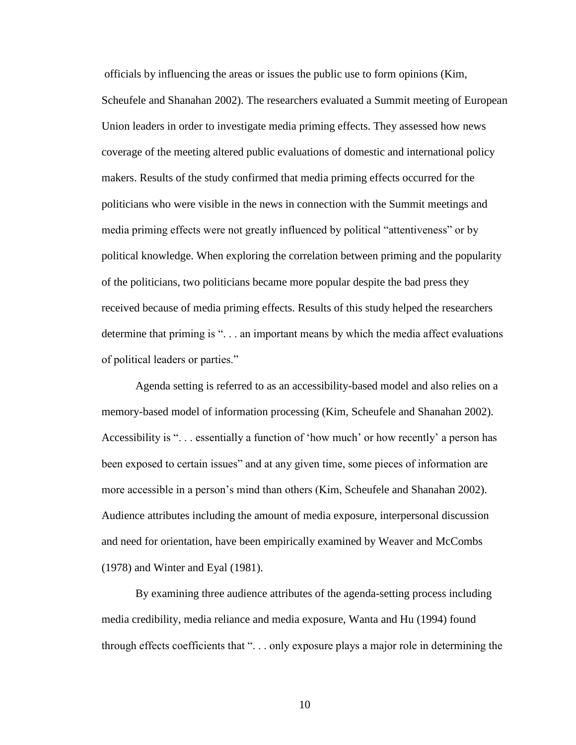officials by influencing the areas or issues the public use to form opinions (Kim, Scheufele and Shanahan 2002). The researchers evaluated a Summit meeting of European Union leaders in order to investigate media priming effects. They assessed how news coverage of the meeting altered public evaluations of domestic and international policy makers. Results of the study confirmed that media priming effects occurred for the politicians who were visible in the news in connection with the Summit meetings and media priming effects were not greatly influenced by political "attentiveness" or by political knowledge. When exploring the correlation between priming and the popularity of the politicians, two politicians became more popular despite the bad press they received because of media priming effects. Results of this study helped the researchers determine that priming is ". . . an important means by which the media affect evaluations of political leaders or parties."

Agenda setting is referred to as an accessibility-based model and also relies on a memory-based model of information processing (Kim, Scheufele and Shanahan 2002). Accessibility is "... essentially a function of 'how much' or how recently' a person has been exposed to certain issues" and at any given time, some pieces of information are more accessible in a person"s mind than others (Kim, Scheufele and Shanahan 2002). Audience attributes including the amount of media exposure, interpersonal discussion and need for orientation, have been empirically examined by Weaver and McCombs (1978) and Winter and Eyal (1981).

By examining three audience attributes of the agenda-setting process including media credibility, media reliance and media exposure, Wanta and Hu (1994) found through effects coefficients that ". . . only exposure plays a major role in determining the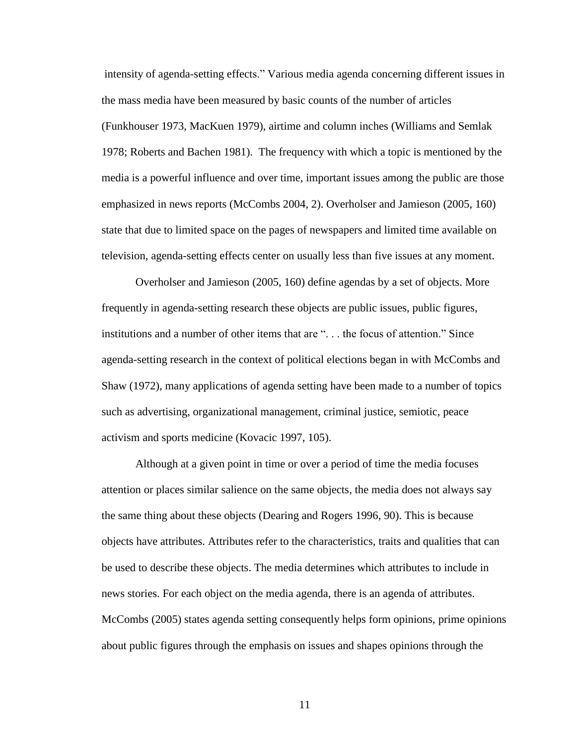intensity of agenda-setting effects." Various media agenda concerning different issues in the mass media have been measured by basic counts of the number of articles (Funkhouser 1973, MacKuen 1979), airtime and column inches (Williams and Semlak 1978; Roberts and Bachen 1981). The frequency with which a topic is mentioned by the media is a powerful influence and over time, important issues among the public are those emphasized in news reports (McCombs 2004, 2). Overholser and Jamieson (2005, 160) state that due to limited space on the pages of newspapers and limited time available on television, agenda-setting effects center on usually less than five issues at any moment.

Overholser and Jamieson (2005, 160) define agendas by a set of objects. More frequently in agenda-setting research these objects are public issues, public figures, institutions and a number of other items that are ". . . the focus of attention." Since agenda-setting research in the context of political elections began in with McCombs and Shaw (1972), many applications of agenda setting have been made to a number of topics such as advertising, organizational management, criminal justice, semiotic, peace activism and sports medicine (Kovacic 1997, 105).

Although at a given point in time or over a period of time the media focuses attention or places similar salience on the same objects, the media does not always say the same thing about these objects (Dearing and Rogers 1996, 90). This is because objects have attributes. Attributes refer to the characteristics, traits and qualities that can be used to describe these objects. The media determines which attributes to include in news stories. For each object on the media agenda, there is an agenda of attributes. McCombs (2005) states agenda setting consequently helps form opinions, prime opinions about public figures through the emphasis on issues and shapes opinions through the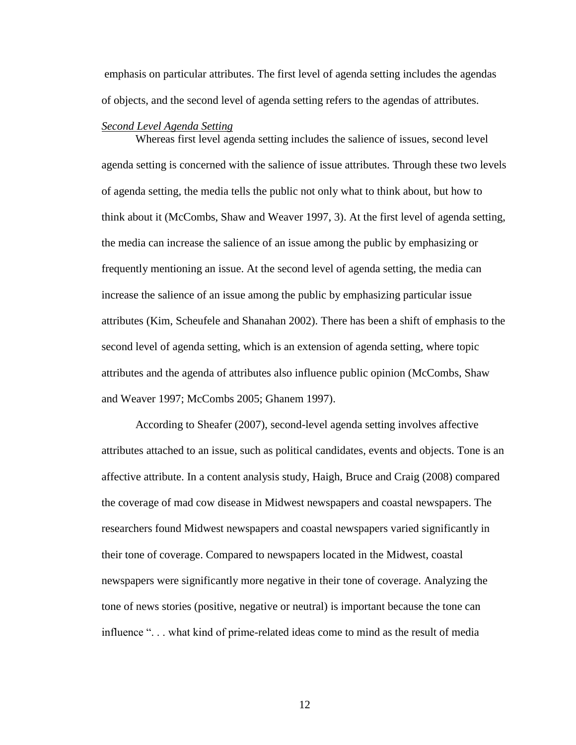emphasis on particular attributes. The first level of agenda setting includes the agendas of objects, and the second level of agenda setting refers to the agendas of attributes.

#### *Second Level Agenda Setting*

Whereas first level agenda setting includes the salience of issues, second level agenda setting is concerned with the salience of issue attributes. Through these two levels of agenda setting, the media tells the public not only what to think about, but how to think about it (McCombs, Shaw and Weaver 1997, 3). At the first level of agenda setting, the media can increase the salience of an issue among the public by emphasizing or frequently mentioning an issue. At the second level of agenda setting, the media can increase the salience of an issue among the public by emphasizing particular issue attributes (Kim, Scheufele and Shanahan 2002). There has been a shift of emphasis to the second level of agenda setting, which is an extension of agenda setting, where topic attributes and the agenda of attributes also influence public opinion (McCombs, Shaw and Weaver 1997; McCombs 2005; Ghanem 1997).

According to Sheafer (2007), second-level agenda setting involves affective attributes attached to an issue, such as political candidates, events and objects. Tone is an affective attribute. In a content analysis study, Haigh, Bruce and Craig (2008) compared the coverage of mad cow disease in Midwest newspapers and coastal newspapers. The researchers found Midwest newspapers and coastal newspapers varied significantly in their tone of coverage. Compared to newspapers located in the Midwest, coastal newspapers were significantly more negative in their tone of coverage. Analyzing the tone of news stories (positive, negative or neutral) is important because the tone can influence ". . . what kind of prime-related ideas come to mind as the result of media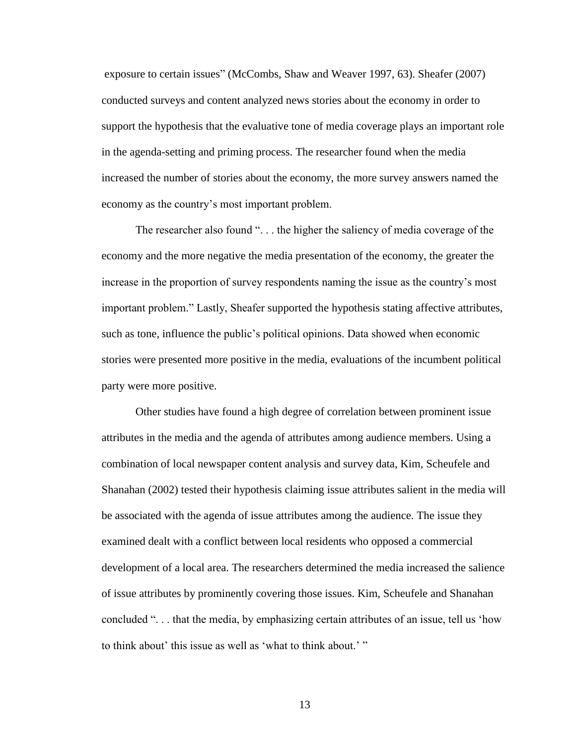exposure to certain issues" (McCombs, Shaw and Weaver 1997, 63). Sheafer (2007) conducted surveys and content analyzed news stories about the economy in order to support the hypothesis that the evaluative tone of media coverage plays an important role in the agenda-setting and priming process. The researcher found when the media increased the number of stories about the economy, the more survey answers named the economy as the country"s most important problem.

The researcher also found "... the higher the saliency of media coverage of the economy and the more negative the media presentation of the economy, the greater the increase in the proportion of survey respondents naming the issue as the country"s most important problem." Lastly, Sheafer supported the hypothesis stating affective attributes, such as tone, influence the public"s political opinions. Data showed when economic stories were presented more positive in the media, evaluations of the incumbent political party were more positive.

Other studies have found a high degree of correlation between prominent issue attributes in the media and the agenda of attributes among audience members. Using a combination of local newspaper content analysis and survey data, Kim, Scheufele and Shanahan (2002) tested their hypothesis claiming issue attributes salient in the media will be associated with the agenda of issue attributes among the audience. The issue they examined dealt with a conflict between local residents who opposed a commercial development of a local area. The researchers determined the media increased the salience of issue attributes by prominently covering those issues. Kim, Scheufele and Shanahan concluded ". . . that the media, by emphasizing certain attributes of an issue, tell us "how to think about' this issue as well as 'what to think about.' "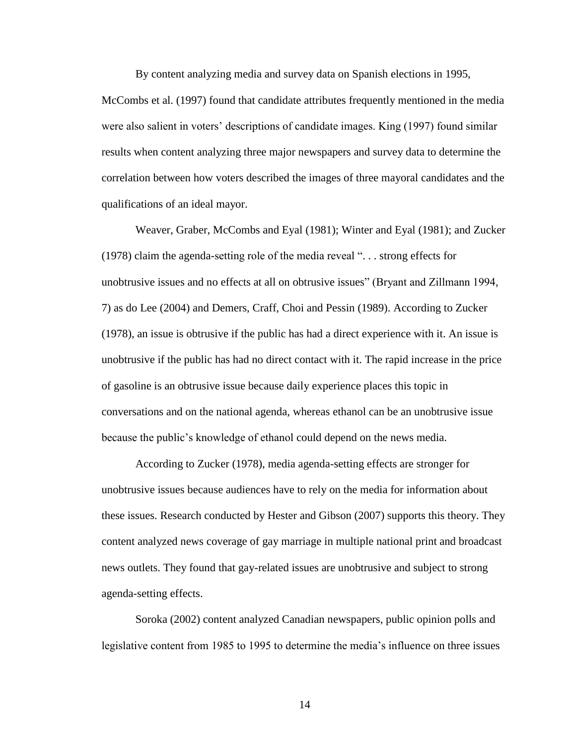By content analyzing media and survey data on Spanish elections in 1995,

McCombs et al. (1997) found that candidate attributes frequently mentioned in the media were also salient in voters" descriptions of candidate images. King (1997) found similar results when content analyzing three major newspapers and survey data to determine the correlation between how voters described the images of three mayoral candidates and the qualifications of an ideal mayor.

Weaver, Graber, McCombs and Eyal (1981); Winter and Eyal (1981); and Zucker (1978) claim the agenda-setting role of the media reveal ". . . strong effects for unobtrusive issues and no effects at all on obtrusive issues" (Bryant and Zillmann 1994, 7) as do Lee (2004) and Demers, Craff, Choi and Pessin (1989). According to Zucker (1978), an issue is obtrusive if the public has had a direct experience with it. An issue is unobtrusive if the public has had no direct contact with it. The rapid increase in the price of gasoline is an obtrusive issue because daily experience places this topic in conversations and on the national agenda, whereas ethanol can be an unobtrusive issue because the public"s knowledge of ethanol could depend on the news media.

According to Zucker (1978), media agenda-setting effects are stronger for unobtrusive issues because audiences have to rely on the media for information about these issues. Research conducted by Hester and Gibson (2007) supports this theory. They content analyzed news coverage of gay marriage in multiple national print and broadcast news outlets. They found that gay-related issues are unobtrusive and subject to strong agenda-setting effects.

Soroka (2002) content analyzed Canadian newspapers, public opinion polls and legislative content from 1985 to 1995 to determine the media"s influence on three issues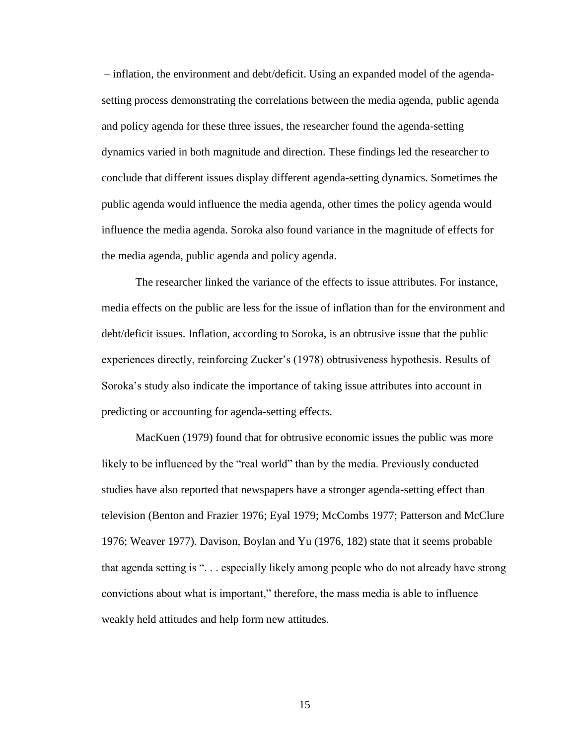– inflation, the environment and debt/deficit. Using an expanded model of the agendasetting process demonstrating the correlations between the media agenda, public agenda and policy agenda for these three issues, the researcher found the agenda-setting dynamics varied in both magnitude and direction. These findings led the researcher to conclude that different issues display different agenda-setting dynamics. Sometimes the public agenda would influence the media agenda, other times the policy agenda would influence the media agenda. Soroka also found variance in the magnitude of effects for the media agenda, public agenda and policy agenda.

The researcher linked the variance of the effects to issue attributes. For instance, media effects on the public are less for the issue of inflation than for the environment and debt/deficit issues. Inflation, according to Soroka, is an obtrusive issue that the public experiences directly, reinforcing Zucker"s (1978) obtrusiveness hypothesis. Results of Soroka's study also indicate the importance of taking issue attributes into account in predicting or accounting for agenda-setting effects.

MacKuen (1979) found that for obtrusive economic issues the public was more likely to be influenced by the "real world" than by the media. Previously conducted studies have also reported that newspapers have a stronger agenda-setting effect than television (Benton and Frazier 1976; Eyal 1979; McCombs 1977; Patterson and McClure 1976; Weaver 1977). Davison, Boylan and Yu (1976, 182) state that it seems probable that agenda setting is ". . . especially likely among people who do not already have strong convictions about what is important," therefore, the mass media is able to influence weakly held attitudes and help form new attitudes.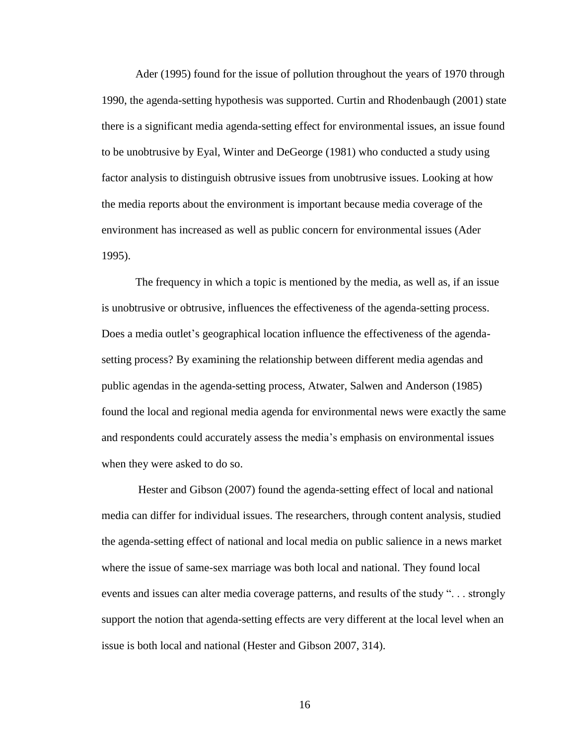Ader (1995) found for the issue of pollution throughout the years of 1970 through 1990, the agenda-setting hypothesis was supported. Curtin and Rhodenbaugh (2001) state there is a significant media agenda-setting effect for environmental issues, an issue found to be unobtrusive by Eyal, Winter and DeGeorge (1981) who conducted a study using factor analysis to distinguish obtrusive issues from unobtrusive issues. Looking at how the media reports about the environment is important because media coverage of the environment has increased as well as public concern for environmental issues (Ader 1995).

The frequency in which a topic is mentioned by the media, as well as, if an issue is unobtrusive or obtrusive, influences the effectiveness of the agenda-setting process. Does a media outlet's geographical location influence the effectiveness of the agendasetting process? By examining the relationship between different media agendas and public agendas in the agenda-setting process, Atwater, Salwen and Anderson (1985) found the local and regional media agenda for environmental news were exactly the same and respondents could accurately assess the media"s emphasis on environmental issues when they were asked to do so.

Hester and Gibson (2007) found the agenda-setting effect of local and national media can differ for individual issues. The researchers, through content analysis, studied the agenda-setting effect of national and local media on public salience in a news market where the issue of same-sex marriage was both local and national. They found local events and issues can alter media coverage patterns, and results of the study ". . . strongly support the notion that agenda-setting effects are very different at the local level when an issue is both local and national (Hester and Gibson 2007, 314).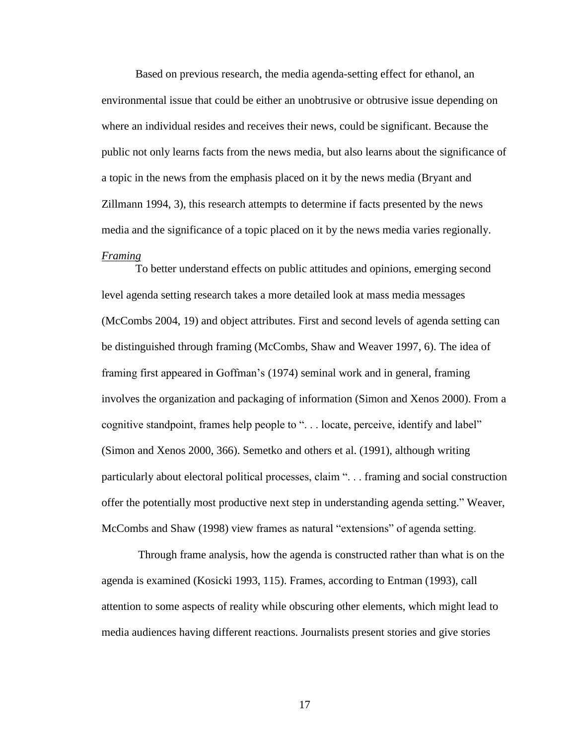Based on previous research, the media agenda-setting effect for ethanol, an environmental issue that could be either an unobtrusive or obtrusive issue depending on where an individual resides and receives their news, could be significant. Because the public not only learns facts from the news media, but also learns about the significance of a topic in the news from the emphasis placed on it by the news media (Bryant and Zillmann 1994, 3), this research attempts to determine if facts presented by the news media and the significance of a topic placed on it by the news media varies regionally. *Framing*

To better understand effects on public attitudes and opinions, emerging second level agenda setting research takes a more detailed look at mass media messages (McCombs 2004, 19) and object attributes. First and second levels of agenda setting can be distinguished through framing (McCombs, Shaw and Weaver 1997, 6). The idea of framing first appeared in Goffman"s (1974) seminal work and in general, framing involves the organization and packaging of information (Simon and Xenos 2000). From a cognitive standpoint, frames help people to ". . . locate, perceive, identify and label" (Simon and Xenos 2000, 366). Semetko and others et al. (1991), although writing particularly about electoral political processes, claim ". . . framing and social construction offer the potentially most productive next step in understanding agenda setting." Weaver, McCombs and Shaw (1998) view frames as natural "extensions" of agenda setting.

Through frame analysis, how the agenda is constructed rather than what is on the agenda is examined (Kosicki 1993, 115). Frames, according to Entman (1993), call attention to some aspects of reality while obscuring other elements, which might lead to media audiences having different reactions. Journalists present stories and give stories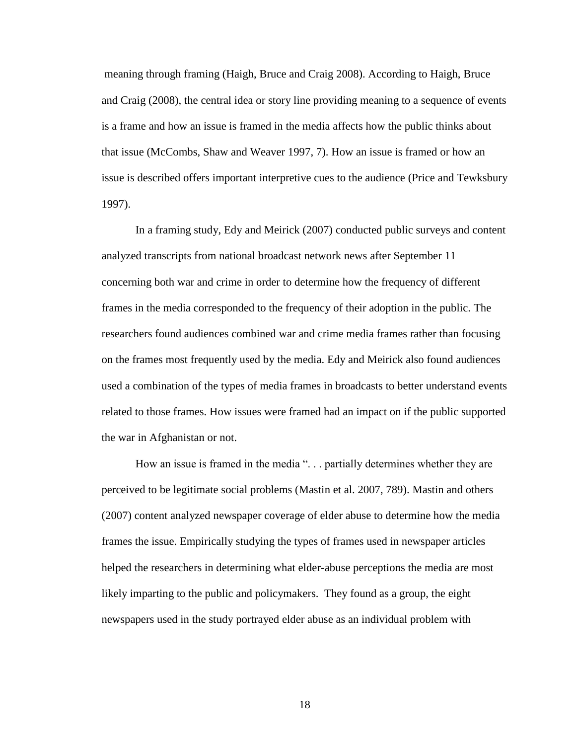meaning through framing (Haigh, Bruce and Craig 2008). According to Haigh, Bruce and Craig (2008), the central idea or story line providing meaning to a sequence of events is a frame and how an issue is framed in the media affects how the public thinks about that issue (McCombs, Shaw and Weaver 1997, 7). How an issue is framed or how an issue is described offers important interpretive cues to the audience (Price and Tewksbury 1997).

In a framing study, Edy and Meirick (2007) conducted public surveys and content analyzed transcripts from national broadcast network news after September 11 concerning both war and crime in order to determine how the frequency of different frames in the media corresponded to the frequency of their adoption in the public. The researchers found audiences combined war and crime media frames rather than focusing on the frames most frequently used by the media. Edy and Meirick also found audiences used a combination of the types of media frames in broadcasts to better understand events related to those frames. How issues were framed had an impact on if the public supported the war in Afghanistan or not.

How an issue is framed in the media ". . . partially determines whether they are perceived to be legitimate social problems (Mastin et al. 2007, 789). Mastin and others (2007) content analyzed newspaper coverage of elder abuse to determine how the media frames the issue. Empirically studying the types of frames used in newspaper articles helped the researchers in determining what elder-abuse perceptions the media are most likely imparting to the public and policymakers. They found as a group, the eight newspapers used in the study portrayed elder abuse as an individual problem with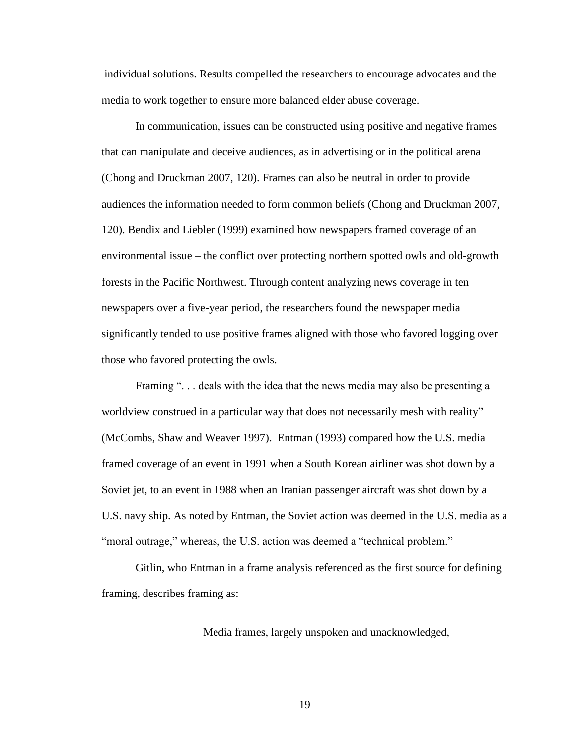individual solutions. Results compelled the researchers to encourage advocates and the media to work together to ensure more balanced elder abuse coverage.

In communication, issues can be constructed using positive and negative frames that can manipulate and deceive audiences, as in advertising or in the political arena (Chong and Druckman 2007, 120). Frames can also be neutral in order to provide audiences the information needed to form common beliefs (Chong and Druckman 2007, 120). Bendix and Liebler (1999) examined how newspapers framed coverage of an environmental issue – the conflict over protecting northern spotted owls and old-growth forests in the Pacific Northwest. Through content analyzing news coverage in ten newspapers over a five-year period, the researchers found the newspaper media significantly tended to use positive frames aligned with those who favored logging over those who favored protecting the owls.

Framing "... deals with the idea that the news media may also be presenting a worldview construed in a particular way that does not necessarily mesh with reality" (McCombs, Shaw and Weaver 1997). Entman (1993) compared how the U.S. media framed coverage of an event in 1991 when a South Korean airliner was shot down by a Soviet jet, to an event in 1988 when an Iranian passenger aircraft was shot down by a U.S. navy ship. As noted by Entman, the Soviet action was deemed in the U.S. media as a "moral outrage," whereas, the U.S. action was deemed a "technical problem."

Gitlin, who Entman in a frame analysis referenced as the first source for defining framing, describes framing as:

Media frames, largely unspoken and unacknowledged,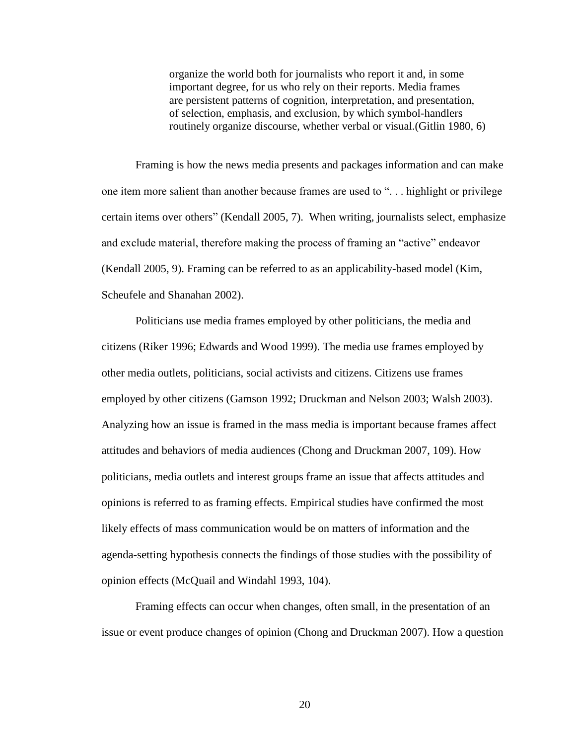organize the world both for journalists who report it and, in some important degree, for us who rely on their reports. Media frames are persistent patterns of cognition, interpretation, and presentation, of selection, emphasis, and exclusion, by which symbol-handlers routinely organize discourse, whether verbal or visual.(Gitlin 1980, 6)

Framing is how the news media presents and packages information and can make one item more salient than another because frames are used to ". . . highlight or privilege certain items over others" (Kendall 2005, 7). When writing, journalists select, emphasize and exclude material, therefore making the process of framing an "active" endeavor (Kendall 2005, 9). Framing can be referred to as an applicability-based model (Kim, Scheufele and Shanahan 2002).

Politicians use media frames employed by other politicians, the media and citizens (Riker 1996; Edwards and Wood 1999). The media use frames employed by other media outlets, politicians, social activists and citizens. Citizens use frames employed by other citizens (Gamson 1992; Druckman and Nelson 2003; Walsh 2003). Analyzing how an issue is framed in the mass media is important because frames affect attitudes and behaviors of media audiences (Chong and Druckman 2007, 109). How politicians, media outlets and interest groups frame an issue that affects attitudes and opinions is referred to as framing effects. Empirical studies have confirmed the most likely effects of mass communication would be on matters of information and the agenda-setting hypothesis connects the findings of those studies with the possibility of opinion effects (McQuail and Windahl 1993, 104).

Framing effects can occur when changes, often small, in the presentation of an issue or event produce changes of opinion (Chong and Druckman 2007). How a question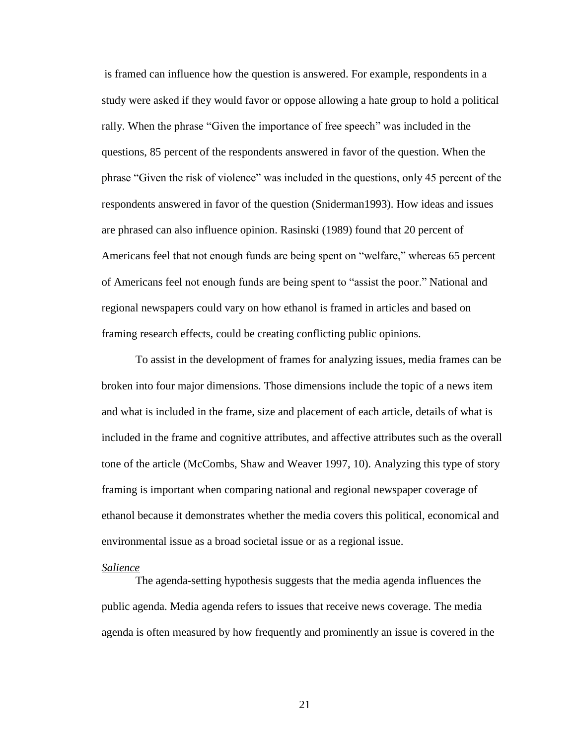is framed can influence how the question is answered. For example, respondents in a study were asked if they would favor or oppose allowing a hate group to hold a political rally. When the phrase "Given the importance of free speech" was included in the questions, 85 percent of the respondents answered in favor of the question. When the phrase "Given the risk of violence" was included in the questions, only 45 percent of the respondents answered in favor of the question (Sniderman1993). How ideas and issues are phrased can also influence opinion. Rasinski (1989) found that 20 percent of Americans feel that not enough funds are being spent on "welfare," whereas 65 percent of Americans feel not enough funds are being spent to "assist the poor." National and regional newspapers could vary on how ethanol is framed in articles and based on framing research effects, could be creating conflicting public opinions.

To assist in the development of frames for analyzing issues, media frames can be broken into four major dimensions. Those dimensions include the topic of a news item and what is included in the frame, size and placement of each article, details of what is included in the frame and cognitive attributes, and affective attributes such as the overall tone of the article (McCombs, Shaw and Weaver 1997, 10). Analyzing this type of story framing is important when comparing national and regional newspaper coverage of ethanol because it demonstrates whether the media covers this political, economical and environmental issue as a broad societal issue or as a regional issue.

#### *Salience*

The agenda-setting hypothesis suggests that the media agenda influences the public agenda. Media agenda refers to issues that receive news coverage. The media agenda is often measured by how frequently and prominently an issue is covered in the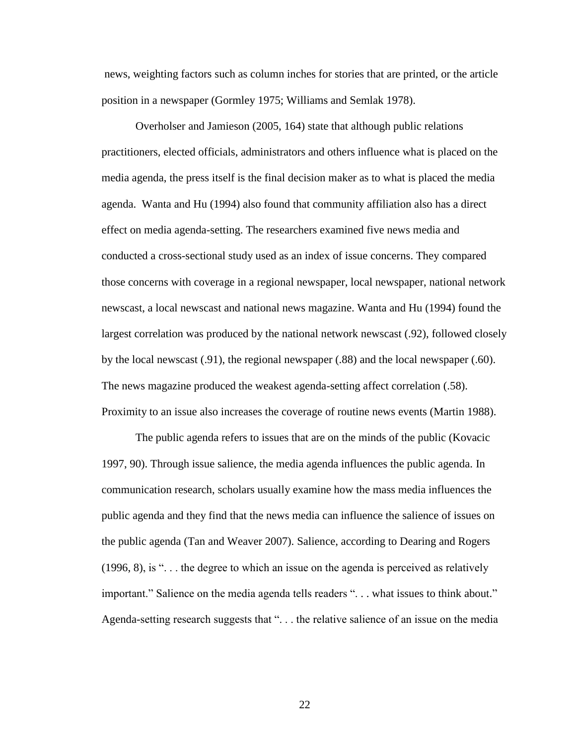news, weighting factors such as column inches for stories that are printed, or the article position in a newspaper (Gormley 1975; Williams and Semlak 1978).

Overholser and Jamieson (2005, 164) state that although public relations practitioners, elected officials, administrators and others influence what is placed on the media agenda, the press itself is the final decision maker as to what is placed the media agenda. Wanta and Hu (1994) also found that community affiliation also has a direct effect on media agenda-setting. The researchers examined five news media and conducted a cross-sectional study used as an index of issue concerns. They compared those concerns with coverage in a regional newspaper, local newspaper, national network newscast, a local newscast and national news magazine. Wanta and Hu (1994) found the largest correlation was produced by the national network newscast (.92), followed closely by the local newscast (.91), the regional newspaper (.88) and the local newspaper (.60). The news magazine produced the weakest agenda-setting affect correlation (.58). Proximity to an issue also increases the coverage of routine news events (Martin 1988).

The public agenda refers to issues that are on the minds of the public (Kovacic 1997, 90). Through issue salience, the media agenda influences the public agenda. In communication research, scholars usually examine how the mass media influences the public agenda and they find that the news media can influence the salience of issues on the public agenda (Tan and Weaver 2007). Salience, according to Dearing and Rogers (1996, 8), is ". . . the degree to which an issue on the agenda is perceived as relatively important." Salience on the media agenda tells readers ". . . what issues to think about." Agenda-setting research suggests that ". . . the relative salience of an issue on the media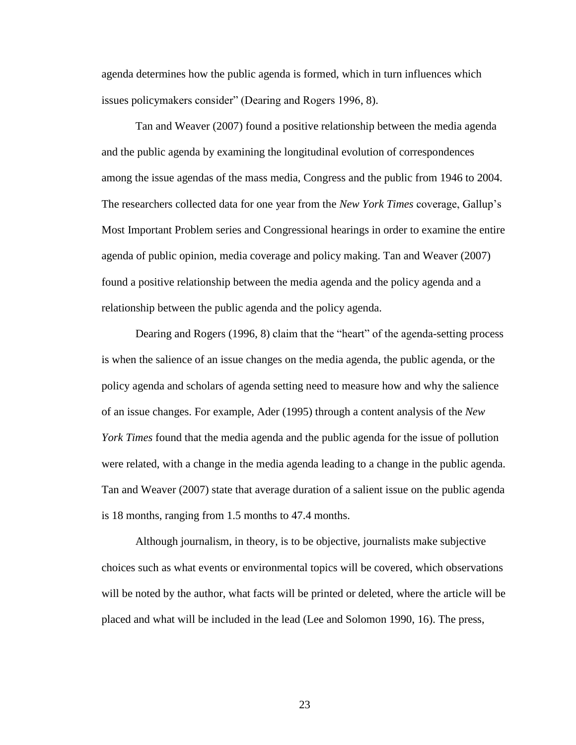agenda determines how the public agenda is formed, which in turn influences which issues policymakers consider" (Dearing and Rogers 1996, 8).

Tan and Weaver (2007) found a positive relationship between the media agenda and the public agenda by examining the longitudinal evolution of correspondences among the issue agendas of the mass media, Congress and the public from 1946 to 2004. The researchers collected data for one year from the *New York Times* coverage, Gallup"s Most Important Problem series and Congressional hearings in order to examine the entire agenda of public opinion, media coverage and policy making. Tan and Weaver (2007) found a positive relationship between the media agenda and the policy agenda and a relationship between the public agenda and the policy agenda.

Dearing and Rogers (1996, 8) claim that the "heart" of the agenda-setting process is when the salience of an issue changes on the media agenda, the public agenda, or the policy agenda and scholars of agenda setting need to measure how and why the salience of an issue changes. For example, Ader (1995) through a content analysis of the *New York Times* found that the media agenda and the public agenda for the issue of pollution were related, with a change in the media agenda leading to a change in the public agenda. Tan and Weaver (2007) state that average duration of a salient issue on the public agenda is 18 months, ranging from 1.5 months to 47.4 months.

Although journalism, in theory, is to be objective, journalists make subjective choices such as what events or environmental topics will be covered, which observations will be noted by the author, what facts will be printed or deleted, where the article will be placed and what will be included in the lead (Lee and Solomon 1990, 16). The press,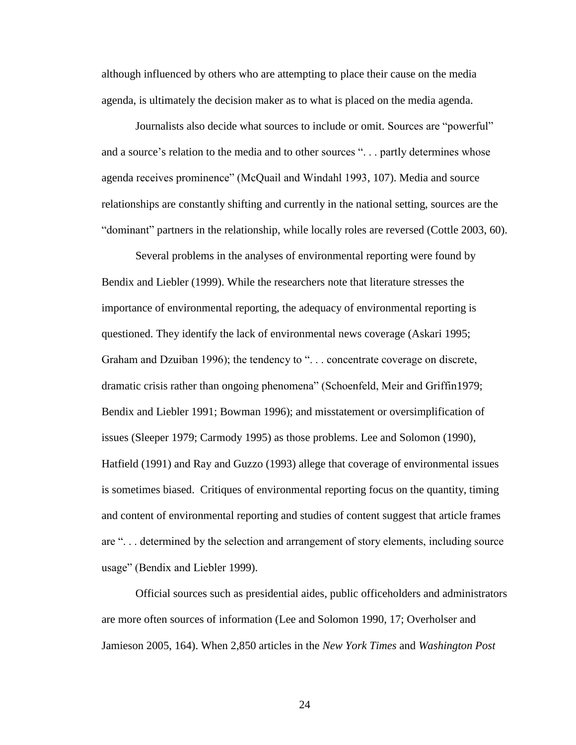although influenced by others who are attempting to place their cause on the media agenda, is ultimately the decision maker as to what is placed on the media agenda.

Journalists also decide what sources to include or omit. Sources are "powerful" and a source's relation to the media and to other sources "... partly determines whose agenda receives prominence" (McQuail and Windahl 1993, 107). Media and source relationships are constantly shifting and currently in the national setting, sources are the "dominant" partners in the relationship, while locally roles are reversed (Cottle 2003, 60).

Several problems in the analyses of environmental reporting were found by Bendix and Liebler (1999). While the researchers note that literature stresses the importance of environmental reporting, the adequacy of environmental reporting is questioned. They identify the lack of environmental news coverage (Askari 1995; Graham and Dzuiban 1996); the tendency to "... concentrate coverage on discrete, dramatic crisis rather than ongoing phenomena" (Schoenfeld, Meir and Griffin1979; Bendix and Liebler 1991; Bowman 1996); and misstatement or oversimplification of issues (Sleeper 1979; Carmody 1995) as those problems. Lee and Solomon (1990), Hatfield (1991) and Ray and Guzzo (1993) allege that coverage of environmental issues is sometimes biased. Critiques of environmental reporting focus on the quantity, timing and content of environmental reporting and studies of content suggest that article frames are ". . . determined by the selection and arrangement of story elements, including source usage" (Bendix and Liebler 1999).

Official sources such as presidential aides, public officeholders and administrators are more often sources of information (Lee and Solomon 1990, 17; Overholser and Jamieson 2005, 164). When 2,850 articles in the *New York Times* and *Washington Post*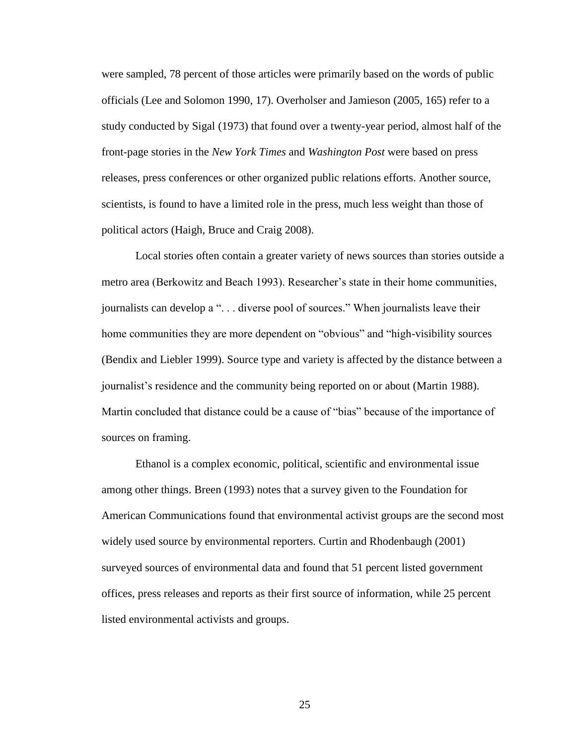were sampled, 78 percent of those articles were primarily based on the words of public officials (Lee and Solomon 1990, 17). Overholser and Jamieson (2005, 165) refer to a study conducted by Sigal (1973) that found over a twenty-year period, almost half of the front-page stories in the *New York Times* and *Washington Post* were based on press releases, press conferences or other organized public relations efforts. Another source, scientists, is found to have a limited role in the press, much less weight than those of political actors (Haigh, Bruce and Craig 2008).

Local stories often contain a greater variety of news sources than stories outside a metro area (Berkowitz and Beach 1993). Researcher"s state in their home communities, journalists can develop a "... diverse pool of sources." When journalists leave their home communities they are more dependent on "obvious" and "high-visibility sources (Bendix and Liebler 1999). Source type and variety is affected by the distance between a journalist's residence and the community being reported on or about (Martin 1988). Martin concluded that distance could be a cause of "bias" because of the importance of sources on framing.

Ethanol is a complex economic, political, scientific and environmental issue among other things. Breen (1993) notes that a survey given to the Foundation for American Communications found that environmental activist groups are the second most widely used source by environmental reporters. Curtin and Rhodenbaugh (2001) surveyed sources of environmental data and found that 51 percent listed government offices, press releases and reports as their first source of information, while 25 percent listed environmental activists and groups.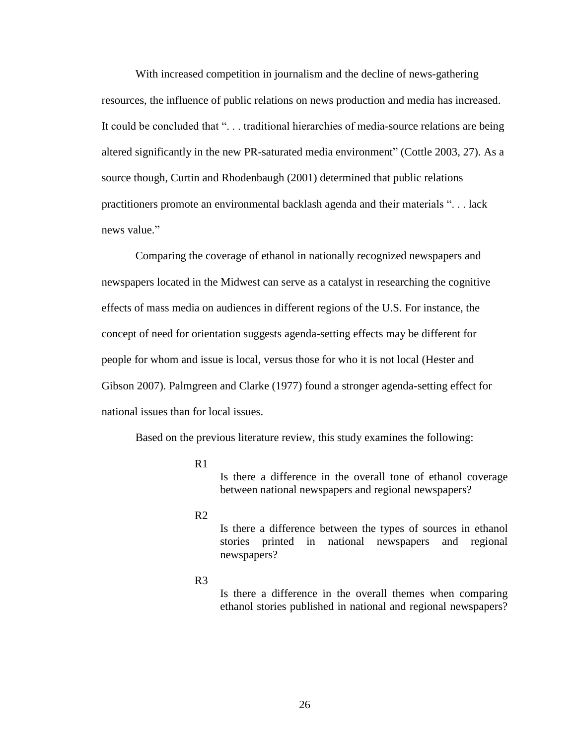With increased competition in journalism and the decline of news-gathering resources, the influence of public relations on news production and media has increased. It could be concluded that ". . . traditional hierarchies of media-source relations are being altered significantly in the new PR-saturated media environment" (Cottle 2003, 27). As a source though, Curtin and Rhodenbaugh (2001) determined that public relations practitioners promote an environmental backlash agenda and their materials ". . . lack news value."

Comparing the coverage of ethanol in nationally recognized newspapers and newspapers located in the Midwest can serve as a catalyst in researching the cognitive effects of mass media on audiences in different regions of the U.S. For instance, the concept of need for orientation suggests agenda-setting effects may be different for people for whom and issue is local, versus those for who it is not local (Hester and Gibson 2007). Palmgreen and Clarke (1977) found a stronger agenda-setting effect for national issues than for local issues.

Based on the previous literature review, this study examines the following:

 $R<sub>1</sub>$ 

Is there a difference in the overall tone of ethanol coverage between national newspapers and regional newspapers?

 $R<sub>2</sub>$ 

Is there a difference between the types of sources in ethanol stories printed in national newspapers and regional newspapers?

R3

Is there a difference in the overall themes when comparing ethanol stories published in national and regional newspapers?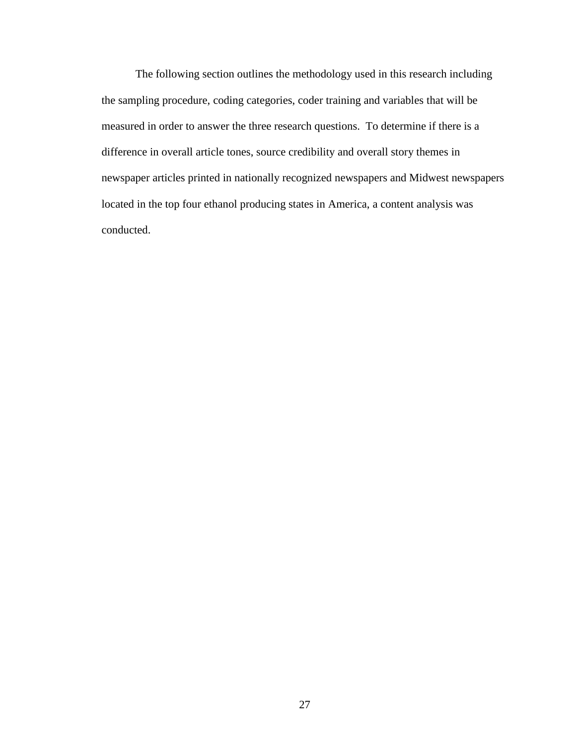The following section outlines the methodology used in this research including the sampling procedure, coding categories, coder training and variables that will be measured in order to answer the three research questions. To determine if there is a difference in overall article tones, source credibility and overall story themes in newspaper articles printed in nationally recognized newspapers and Midwest newspapers located in the top four ethanol producing states in America, a content analysis was conducted.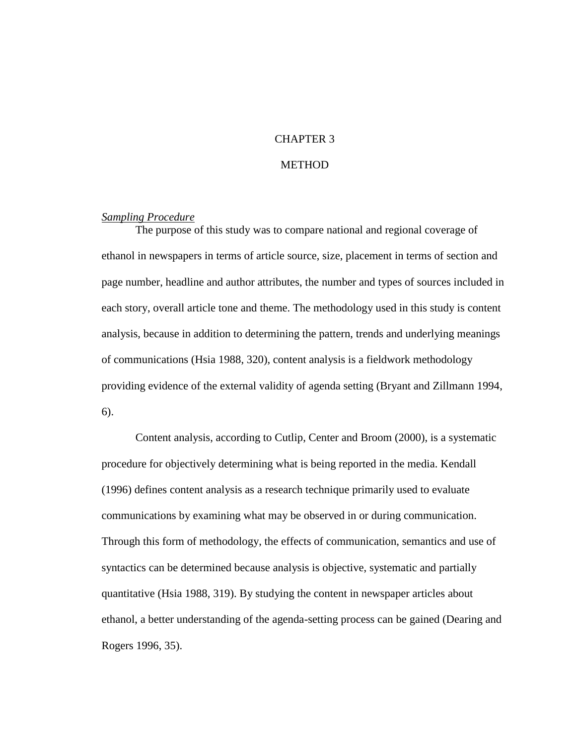#### CHAPTER 3

#### **METHOD**

#### *Sampling Procedure*

The purpose of this study was to compare national and regional coverage of ethanol in newspapers in terms of article source, size, placement in terms of section and page number, headline and author attributes, the number and types of sources included in each story, overall article tone and theme. The methodology used in this study is content analysis, because in addition to determining the pattern, trends and underlying meanings of communications (Hsia 1988, 320), content analysis is a fieldwork methodology providing evidence of the external validity of agenda setting (Bryant and Zillmann 1994, 6).

Content analysis, according to Cutlip, Center and Broom (2000), is a systematic procedure for objectively determining what is being reported in the media. Kendall (1996) defines content analysis as a research technique primarily used to evaluate communications by examining what may be observed in or during communication. Through this form of methodology, the effects of communication, semantics and use of syntactics can be determined because analysis is objective, systematic and partially quantitative (Hsia 1988, 319). By studying the content in newspaper articles about ethanol, a better understanding of the agenda-setting process can be gained (Dearing and Rogers 1996, 35).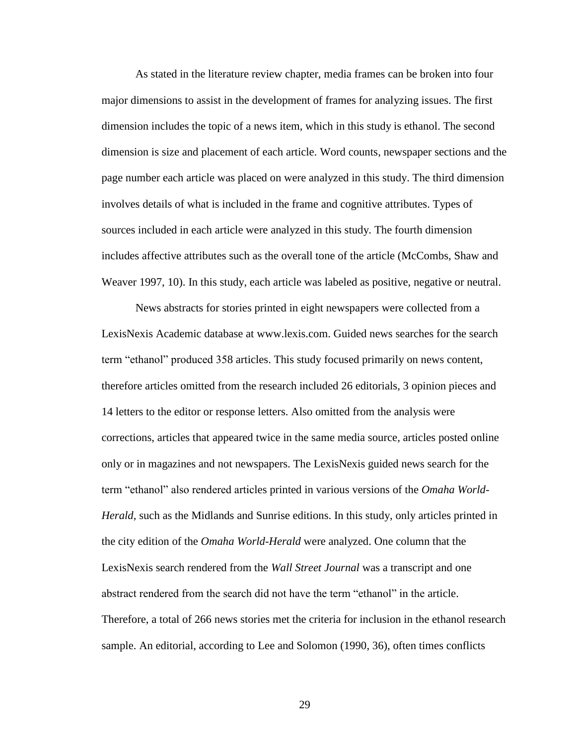As stated in the literature review chapter, media frames can be broken into four major dimensions to assist in the development of frames for analyzing issues. The first dimension includes the topic of a news item, which in this study is ethanol. The second dimension is size and placement of each article. Word counts, newspaper sections and the page number each article was placed on were analyzed in this study. The third dimension involves details of what is included in the frame and cognitive attributes. Types of sources included in each article were analyzed in this study. The fourth dimension includes affective attributes such as the overall tone of the article (McCombs, Shaw and Weaver 1997, 10). In this study, each article was labeled as positive, negative or neutral.

News abstracts for stories printed in eight newspapers were collected from a LexisNexis Academic database at www.lexis.com. Guided news searches for the search term "ethanol" produced 358 articles. This study focused primarily on news content, therefore articles omitted from the research included 26 editorials, 3 opinion pieces and 14 letters to the editor or response letters. Also omitted from the analysis were corrections, articles that appeared twice in the same media source, articles posted online only or in magazines and not newspapers. The LexisNexis guided news search for the term "ethanol" also rendered articles printed in various versions of the *Omaha World-Herald*, such as the Midlands and Sunrise editions. In this study, only articles printed in the city edition of the *Omaha World-Herald* were analyzed. One column that the LexisNexis search rendered from the *Wall Street Journal* was a transcript and one abstract rendered from the search did not have the term "ethanol" in the article. Therefore, a total of 266 news stories met the criteria for inclusion in the ethanol research sample. An editorial, according to Lee and Solomon (1990, 36), often times conflicts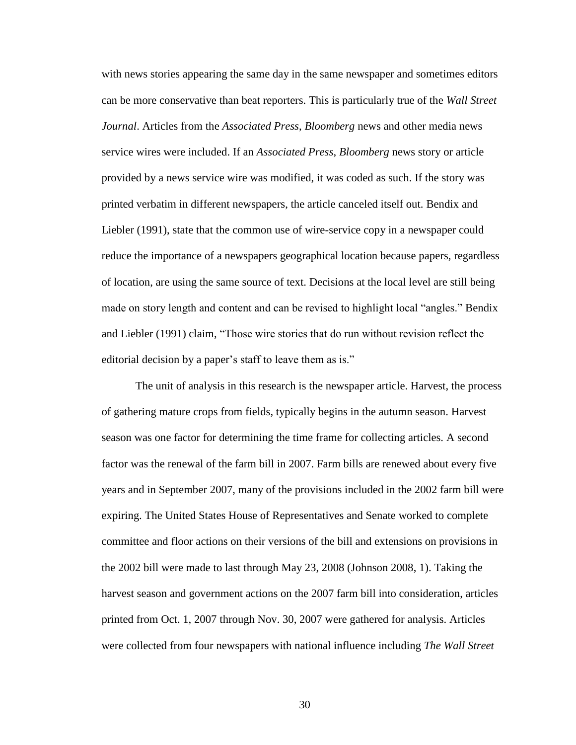with news stories appearing the same day in the same newspaper and sometimes editors can be more conservative than beat reporters. This is particularly true of the *Wall Street Journal*. Articles from the *Associated Press*, *Bloomberg* news and other media news service wires were included. If an *Associated Press*, *Bloomberg* news story or article provided by a news service wire was modified, it was coded as such. If the story was printed verbatim in different newspapers, the article canceled itself out. Bendix and Liebler (1991), state that the common use of wire-service copy in a newspaper could reduce the importance of a newspapers geographical location because papers, regardless of location, are using the same source of text. Decisions at the local level are still being made on story length and content and can be revised to highlight local "angles." Bendix and Liebler (1991) claim, "Those wire stories that do run without revision reflect the editorial decision by a paper's staff to leave them as is."

The unit of analysis in this research is the newspaper article. Harvest, the process of gathering mature crops from fields, typically begins in the autumn season. Harvest season was one factor for determining the time frame for collecting articles. A second factor was the renewal of the farm bill in 2007. Farm bills are renewed about every five years and in September 2007, many of the provisions included in the 2002 farm bill were expiring. The United States House of Representatives and Senate worked to complete committee and floor actions on their versions of the bill and extensions on provisions in the 2002 bill were made to last through May 23, 2008 (Johnson 2008, 1). Taking the harvest season and government actions on the 2007 farm bill into consideration, articles printed from Oct. 1, 2007 through Nov. 30, 2007 were gathered for analysis. Articles were collected from four newspapers with national influence including *The Wall Street*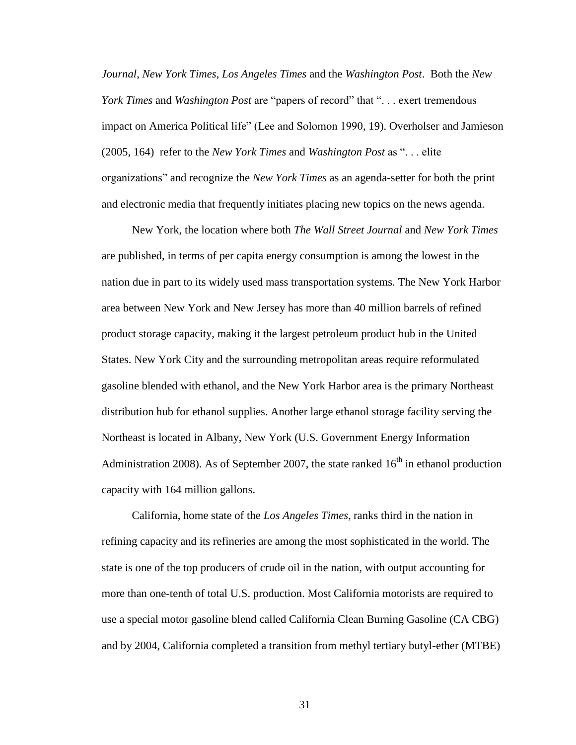*Journal*, *New York Times*, *Los Angeles Times* and the *Washington Post*. Both the *New York Times* and *Washington Post* are "papers of record" that ". . . exert tremendous impact on America Political life" (Lee and Solomon 1990, 19). Overholser and Jamieson (2005, 164) refer to the *New York Times* and *Washington Post* as ". . . elite organizations" and recognize the *New York Times* as an agenda-setter for both the print and electronic media that frequently initiates placing new topics on the news agenda.

New York, the location where both *The Wall Street Journal* and *New York Times* are published, in terms of per capita energy consumption is among the lowest in the nation due in part to its widely used mass transportation systems. The New York Harbor area between New York and New Jersey has more than 40 million barrels of refined product storage capacity, making it the largest petroleum product hub in the United States. New York City and the surrounding metropolitan areas require reformulated gasoline blended with ethanol, and the New York Harbor area is the primary Northeast distribution hub for ethanol supplies. Another large ethanol storage facility serving the Northeast is located in Albany, New York (U.S. Government Energy Information Administration 2008). As of September 2007, the state ranked  $16<sup>th</sup>$  in ethanol production capacity with 164 million gallons.

California, home state of the *Los Angeles Times*, ranks third in the nation in refining capacity and its refineries are among the most sophisticated in the world. The state is one of the top producers of crude oil in the nation, with output accounting for more than one-tenth of total U.S. production. Most California motorists are required to use a special motor gasoline blend called California Clean Burning Gasoline (CA CBG) and by 2004, California completed a transition from methyl tertiary butyl-ether (MTBE)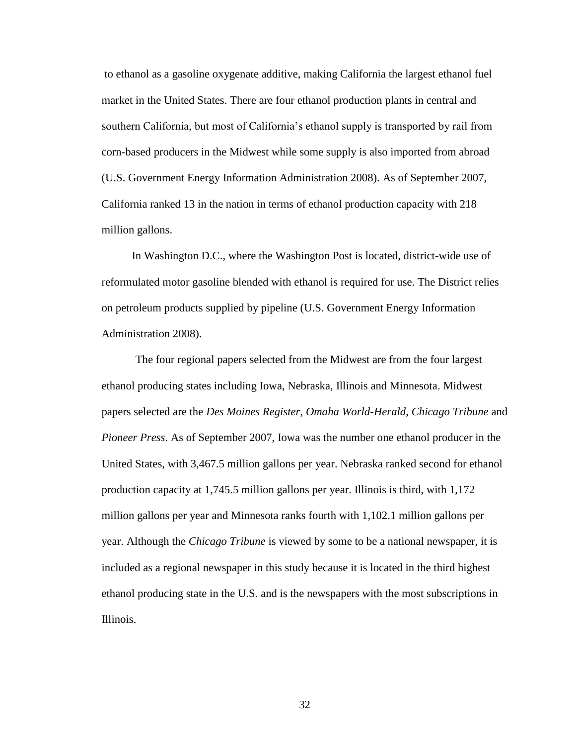to ethanol as a gasoline oxygenate additive, making California the largest ethanol fuel market in the United States. There are four ethanol production plants in central and southern California, but most of California"s ethanol supply is transported by rail from corn-based producers in the Midwest while some supply is also imported from abroad (U.S. Government Energy Information Administration 2008). As of September 2007, California ranked 13 in the nation in terms of ethanol production capacity with 218 million gallons.

In Washington D.C., where the Washington Post is located, district-wide use of reformulated motor gasoline blended with ethanol is required for use. The District relies on petroleum products supplied by pipeline (U.S. Government Energy Information Administration 2008).

The four regional papers selected from the Midwest are from the four largest ethanol producing states including Iowa, Nebraska, Illinois and Minnesota. Midwest papers selected are the *Des Moines Register*, *Omaha World-Herald*, *Chicago Tribune* and *Pioneer Press*. As of September 2007, Iowa was the number one ethanol producer in the United States, with 3,467.5 million gallons per year. Nebraska ranked second for ethanol production capacity at 1,745.5 million gallons per year. Illinois is third, with 1,172 million gallons per year and Minnesota ranks fourth with 1,102.1 million gallons per year. Although the *Chicago Tribune* is viewed by some to be a national newspaper, it is included as a regional newspaper in this study because it is located in the third highest ethanol producing state in the U.S. and is the newspapers with the most subscriptions in Illinois.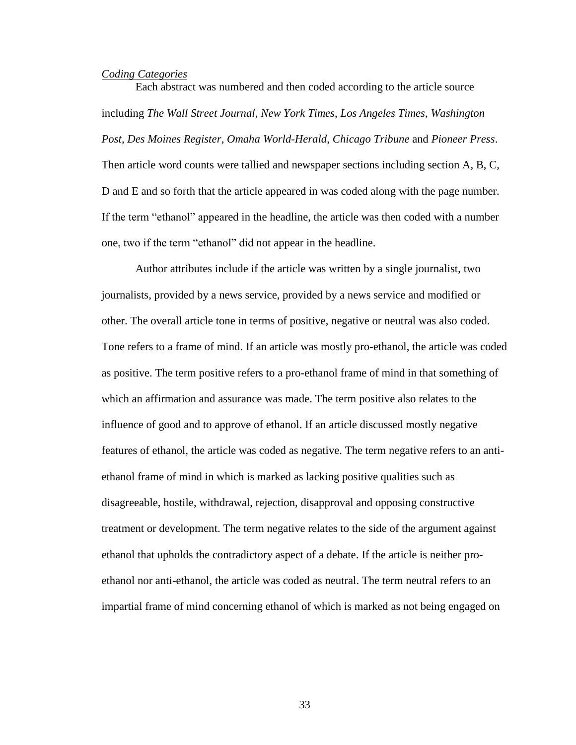### *Coding Categories*

Each abstract was numbered and then coded according to the article source including *The Wall Street Journal*, *New York Times*, *Los Angeles Times*, *Washington Post*, *Des Moines Register*, *Omaha World-Herald*, *Chicago Tribune* and *Pioneer Press*. Then article word counts were tallied and newspaper sections including section A, B, C, D and E and so forth that the article appeared in was coded along with the page number. If the term "ethanol" appeared in the headline, the article was then coded with a number one, two if the term "ethanol" did not appear in the headline.

Author attributes include if the article was written by a single journalist, two journalists, provided by a news service, provided by a news service and modified or other. The overall article tone in terms of positive, negative or neutral was also coded. Tone refers to a frame of mind. If an article was mostly pro-ethanol, the article was coded as positive. The term positive refers to a pro-ethanol frame of mind in that something of which an affirmation and assurance was made. The term positive also relates to the influence of good and to approve of ethanol. If an article discussed mostly negative features of ethanol, the article was coded as negative. The term negative refers to an antiethanol frame of mind in which is marked as lacking positive qualities such as disagreeable, hostile, withdrawal, rejection, disapproval and opposing constructive treatment or development. The term negative relates to the side of the argument against ethanol that upholds the contradictory aspect of a debate. If the article is neither proethanol nor anti-ethanol, the article was coded as neutral. The term neutral refers to an impartial frame of mind concerning ethanol of which is marked as not being engaged on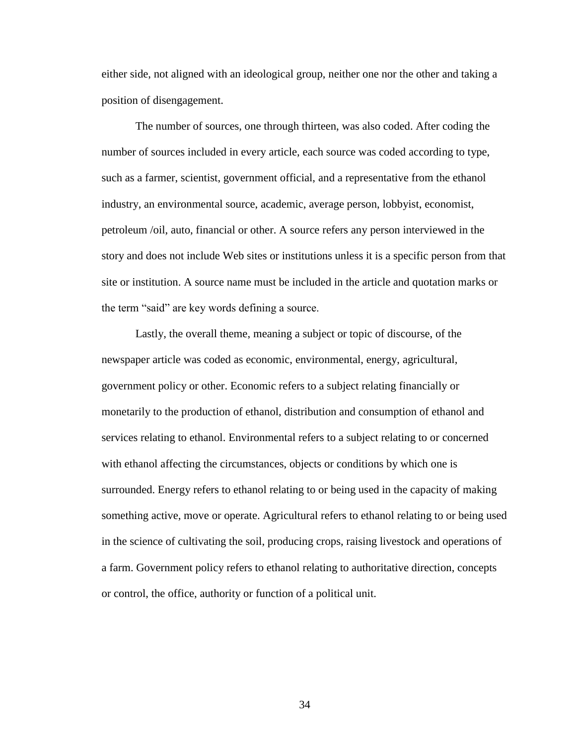either side, not aligned with an ideological group, neither one nor the other and taking a position of disengagement.

The number of sources, one through thirteen, was also coded. After coding the number of sources included in every article, each source was coded according to type, such as a farmer, scientist, government official, and a representative from the ethanol industry, an environmental source, academic, average person, lobbyist, economist, petroleum /oil, auto, financial or other. A source refers any person interviewed in the story and does not include Web sites or institutions unless it is a specific person from that site or institution. A source name must be included in the article and quotation marks or the term "said" are key words defining a source.

Lastly, the overall theme, meaning a subject or topic of discourse, of the newspaper article was coded as economic, environmental, energy, agricultural, government policy or other. Economic refers to a subject relating financially or monetarily to the production of ethanol, distribution and consumption of ethanol and services relating to ethanol. Environmental refers to a subject relating to or concerned with ethanol affecting the circumstances, objects or conditions by which one is surrounded. Energy refers to ethanol relating to or being used in the capacity of making something active, move or operate. Agricultural refers to ethanol relating to or being used in the science of cultivating the soil, producing crops, raising livestock and operations of a farm. Government policy refers to ethanol relating to authoritative direction, concepts or control, the office, authority or function of a political unit.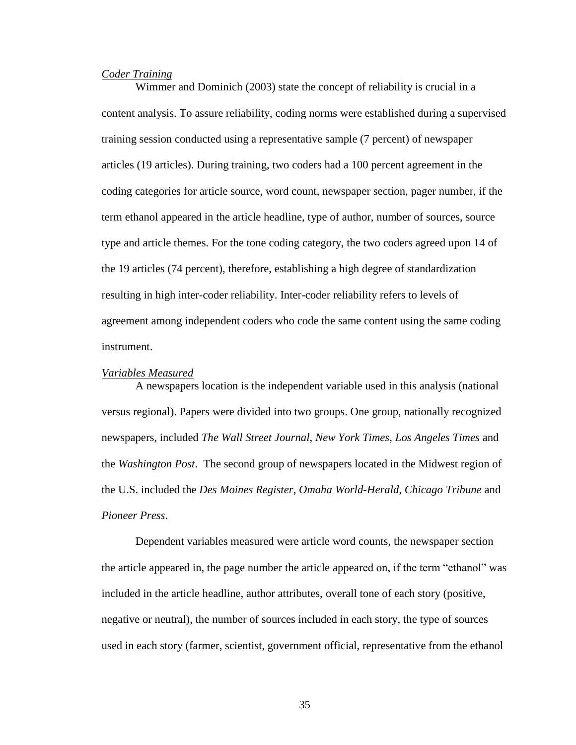### *Coder Training*

Wimmer and Dominich (2003) state the concept of reliability is crucial in a content analysis. To assure reliability, coding norms were established during a supervised training session conducted using a representative sample (7 percent) of newspaper articles (19 articles). During training, two coders had a 100 percent agreement in the coding categories for article source, word count, newspaper section, pager number, if the term ethanol appeared in the article headline, type of author, number of sources, source type and article themes. For the tone coding category, the two coders agreed upon 14 of the 19 articles (74 percent), therefore, establishing a high degree of standardization resulting in high inter-coder reliability. Inter-coder reliability refers to levels of agreement among independent coders who code the same content using the same coding instrument.

#### *Variables Measured*

A newspapers location is the independent variable used in this analysis (national versus regional). Papers were divided into two groups. One group, nationally recognized newspapers, included *The Wall Street Journal*, *New York Times*, *Los Angeles Times* and the *Washington Post*. The second group of newspapers located in the Midwest region of the U.S. included the *Des Moines Register*, *Omaha World-Herald*, *Chicago Tribune* and *Pioneer Press*.

Dependent variables measured were article word counts, the newspaper section the article appeared in, the page number the article appeared on, if the term "ethanol" was included in the article headline, author attributes, overall tone of each story (positive, negative or neutral), the number of sources included in each story, the type of sources used in each story (farmer, scientist, government official, representative from the ethanol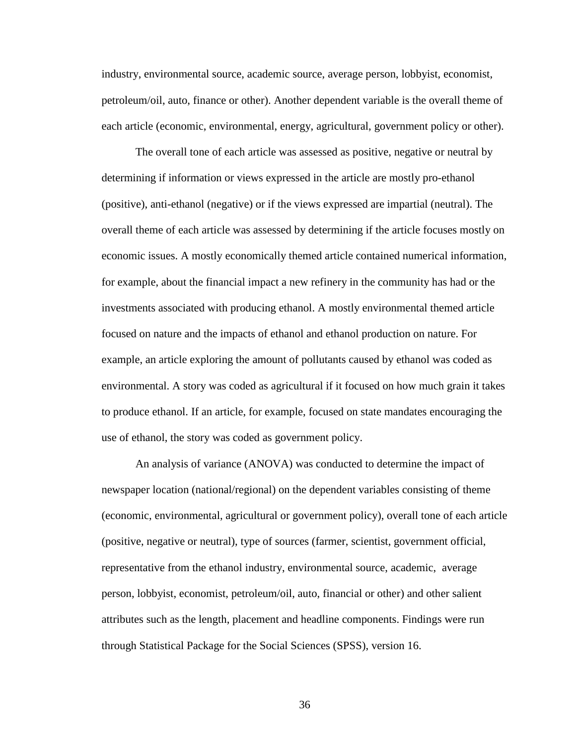industry, environmental source, academic source, average person, lobbyist, economist, petroleum/oil, auto, finance or other). Another dependent variable is the overall theme of each article (economic, environmental, energy, agricultural, government policy or other).

The overall tone of each article was assessed as positive, negative or neutral by determining if information or views expressed in the article are mostly pro-ethanol (positive), anti-ethanol (negative) or if the views expressed are impartial (neutral). The overall theme of each article was assessed by determining if the article focuses mostly on economic issues. A mostly economically themed article contained numerical information, for example, about the financial impact a new refinery in the community has had or the investments associated with producing ethanol. A mostly environmental themed article focused on nature and the impacts of ethanol and ethanol production on nature. For example, an article exploring the amount of pollutants caused by ethanol was coded as environmental. A story was coded as agricultural if it focused on how much grain it takes to produce ethanol. If an article, for example, focused on state mandates encouraging the use of ethanol, the story was coded as government policy.

An analysis of variance (ANOVA) was conducted to determine the impact of newspaper location (national/regional) on the dependent variables consisting of theme (economic, environmental, agricultural or government policy), overall tone of each article (positive, negative or neutral), type of sources (farmer, scientist, government official, representative from the ethanol industry, environmental source, academic, average person, lobbyist, economist, petroleum/oil, auto, financial or other) and other salient attributes such as the length, placement and headline components. Findings were run through Statistical Package for the Social Sciences (SPSS), version 16.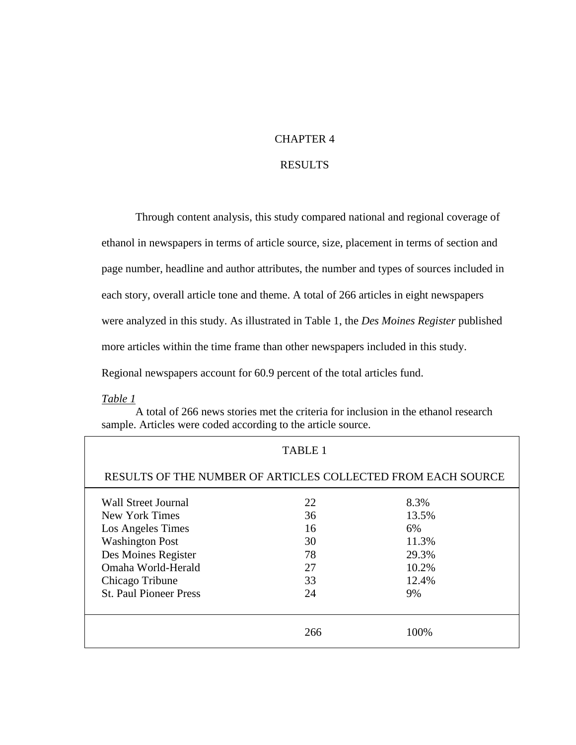### CHAPTER 4

### RESULTS

Through content analysis, this study compared national and regional coverage of ethanol in newspapers in terms of article source, size, placement in terms of section and page number, headline and author attributes, the number and types of sources included in each story, overall article tone and theme. A total of 266 articles in eight newspapers were analyzed in this study. As illustrated in Table 1, the *Des Moines Register* published more articles within the time frame than other newspapers included in this study. Regional newspapers account for 60.9 percent of the total articles fund.

*Table 1*

A total of 266 news stories met the criteria for inclusion in the ethanol research sample. Articles were coded according to the article source.

| TABLE 1                                                      |     |       |  |  |  |
|--------------------------------------------------------------|-----|-------|--|--|--|
| RESULTS OF THE NUMBER OF ARTICLES COLLECTED FROM EACH SOURCE |     |       |  |  |  |
| 22<br>Wall Street Journal<br>8.3%                            |     |       |  |  |  |
| New York Times                                               | 36  | 13.5% |  |  |  |
| Los Angeles Times                                            | 16  | 6%    |  |  |  |
| <b>Washington Post</b>                                       | 30  | 11.3% |  |  |  |
| Des Moines Register                                          | 78  | 29.3% |  |  |  |
| Omaha World-Herald                                           | 27  | 10.2% |  |  |  |
| Chicago Tribune                                              | 33  | 12.4% |  |  |  |
| <b>St. Paul Pioneer Press</b>                                | 24  | 9%    |  |  |  |
|                                                              | 266 | 100%  |  |  |  |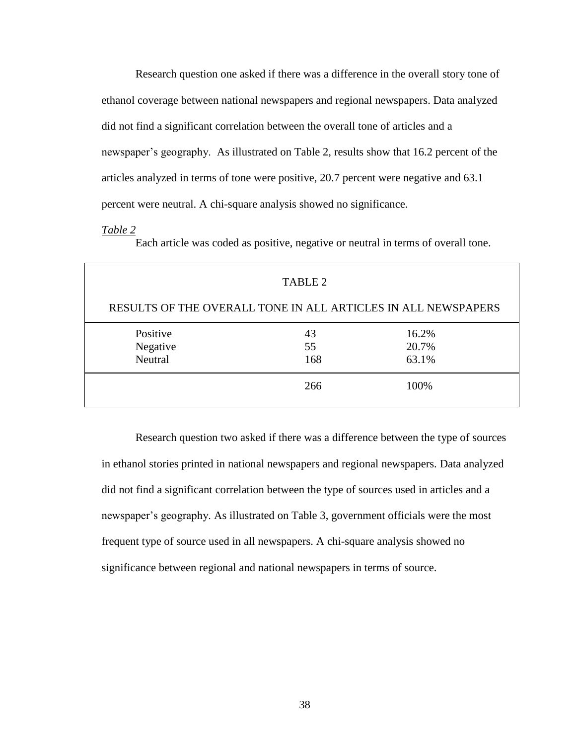Research question one asked if there was a difference in the overall story tone of ethanol coverage between national newspapers and regional newspapers. Data analyzed did not find a significant correlation between the overall tone of articles and a newspaper's geography. As illustrated on Table 2, results show that 16.2 percent of the articles analyzed in terms of tone were positive, 20.7 percent were negative and 63.1 percent were neutral. A chi-square analysis showed no significance.

#### *Table 2*

Each article was coded as positive, negative or neutral in terms of overall tone.

| TABLE 2                                                       |     |       |  |  |  |
|---------------------------------------------------------------|-----|-------|--|--|--|
| RESULTS OF THE OVERALL TONE IN ALL ARTICLES IN ALL NEWSPAPERS |     |       |  |  |  |
| Positive                                                      | 43  | 16.2% |  |  |  |
| Negative                                                      | 55  | 20.7% |  |  |  |
| Neutral                                                       | 168 | 63.1% |  |  |  |
| 266<br>100%                                                   |     |       |  |  |  |

Research question two asked if there was a difference between the type of sources in ethanol stories printed in national newspapers and regional newspapers. Data analyzed did not find a significant correlation between the type of sources used in articles and a newspaper's geography. As illustrated on Table 3, government officials were the most frequent type of source used in all newspapers. A chi-square analysis showed no significance between regional and national newspapers in terms of source.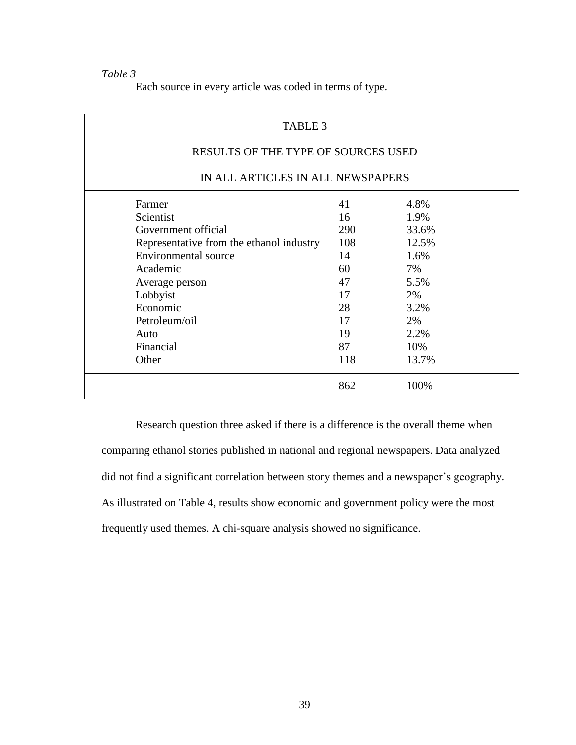*Table 3*

Each source in every article was coded in terms of type.

| TABLE 3                                  |     |       |  |  |
|------------------------------------------|-----|-------|--|--|
| RESULTS OF THE TYPE OF SOURCES USED      |     |       |  |  |
| IN ALL ARTICLES IN ALL NEWSPAPERS        |     |       |  |  |
| Farmer                                   | 41  | 4.8%  |  |  |
| Scientist                                | 16  | 1.9%  |  |  |
| Government official                      | 290 | 33.6% |  |  |
| Representative from the ethanol industry | 108 | 12.5% |  |  |
| Environmental source                     | 14  | 1.6%  |  |  |
| Academic                                 | 60  | 7%    |  |  |
| Average person                           | 47  | 5.5%  |  |  |
| Lobbyist                                 | 17  | 2%    |  |  |
| Economic                                 | 28  | 3.2%  |  |  |
| Petroleum/oil                            | 17  | 2%    |  |  |
| Auto                                     | 19  | 2.2%  |  |  |
| Financial                                | 87  | 10%   |  |  |
| Other                                    | 118 | 13.7% |  |  |
|                                          | 862 | 100%  |  |  |

Research question three asked if there is a difference is the overall theme when comparing ethanol stories published in national and regional newspapers. Data analyzed did not find a significant correlation between story themes and a newspaper's geography. As illustrated on Table 4, results show economic and government policy were the most frequently used themes. A chi-square analysis showed no significance.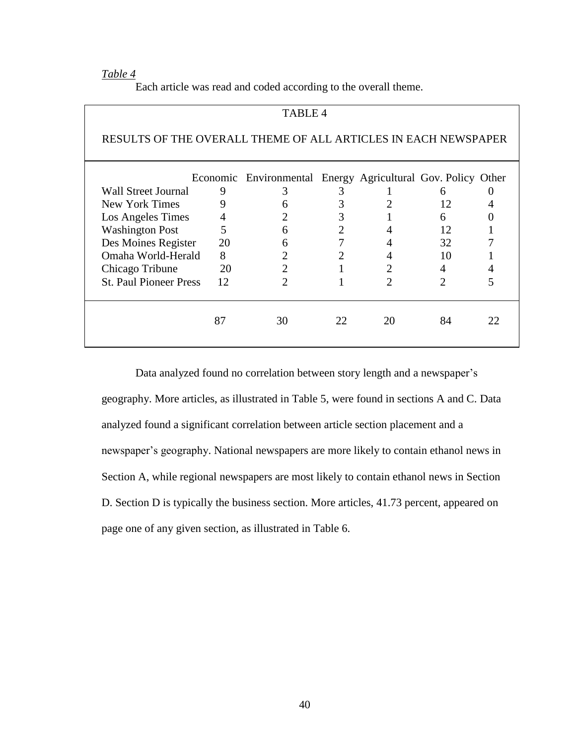### *Table 4*

Each article was read and coded according to the overall theme.

| <b>TABLE 4</b>                                                 |      |                                                              |    |    |    |    |
|----------------------------------------------------------------|------|--------------------------------------------------------------|----|----|----|----|
| RESULTS OF THE OVERALL THEME OF ALL ARTICLES IN EACH NEWSPAPER |      |                                                              |    |    |    |    |
|                                                                |      | Economic Environmental Energy Agricultural Gov. Policy Other |    |    |    |    |
| Wall Street Journal                                            | 9    |                                                              |    |    | h  |    |
| New York Times                                                 |      |                                                              |    |    | 12 |    |
| Los Angeles Times                                              |      |                                                              |    |    | 6  |    |
| <b>Washington Post</b>                                         | 5    | 6                                                            |    |    | 12 |    |
| Des Moines Register                                            | - 20 |                                                              |    | 4  | 32 |    |
| Omaha World-Herald                                             | 8    |                                                              |    | 4  | 10 |    |
| Chicago Tribune                                                | 20   |                                                              |    | 2  | 4  |    |
| <b>St. Paul Pioneer Press</b>                                  | 12   |                                                              |    | 2  | っ  |    |
|                                                                | 87   | 30                                                           | 22 | 20 | 84 | 22 |

Data analyzed found no correlation between story length and a newspaper"s geography. More articles, as illustrated in Table 5, were found in sections A and C. Data analyzed found a significant correlation between article section placement and a newspaper"s geography. National newspapers are more likely to contain ethanol news in Section A, while regional newspapers are most likely to contain ethanol news in Section D. Section D is typically the business section. More articles, 41.73 percent, appeared on page one of any given section, as illustrated in Table 6.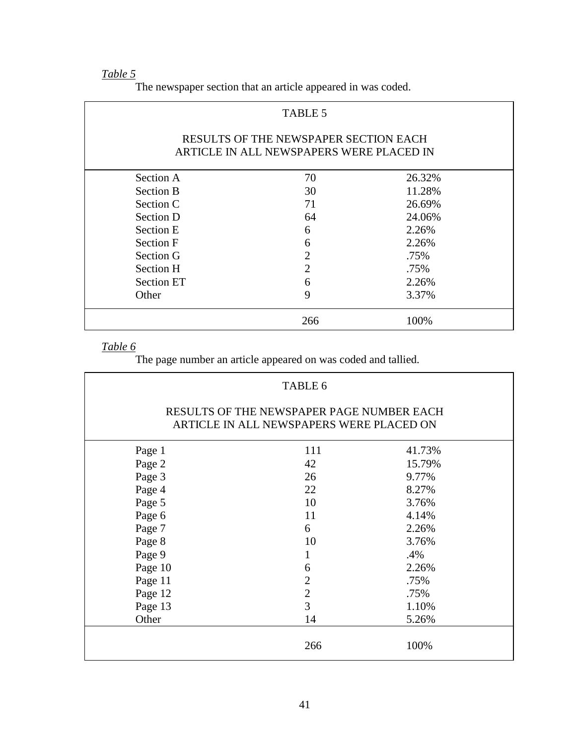# *Table 5*

| TABLE 5                                                                           |                |        |  |  |  |
|-----------------------------------------------------------------------------------|----------------|--------|--|--|--|
| RESULTS OF THE NEWSPAPER SECTION EACH<br>ARTICLE IN ALL NEWSPAPERS WERE PLACED IN |                |        |  |  |  |
| Section A                                                                         | 70             | 26.32% |  |  |  |
| <b>Section B</b>                                                                  | 30             | 11.28% |  |  |  |
| Section C                                                                         | 71             | 26.69% |  |  |  |
| Section D                                                                         | 64             | 24.06% |  |  |  |
| <b>Section E</b>                                                                  | 6              | 2.26%  |  |  |  |
| <b>Section F</b>                                                                  | 6              | 2.26%  |  |  |  |
| Section G                                                                         | $\overline{2}$ | .75%   |  |  |  |
| Section H                                                                         | $\overline{2}$ | .75%   |  |  |  |
| <b>Section ET</b>                                                                 | 6              | 2.26%  |  |  |  |
| Other                                                                             | 9              | 3.37%  |  |  |  |
|                                                                                   | 266            | 100%   |  |  |  |

The newspaper section that an article appeared in was coded.

### *Table 6*

The page number an article appeared on was coded and tallied.

| TABLE 6                                                                               |                |        |  |  |
|---------------------------------------------------------------------------------------|----------------|--------|--|--|
| RESULTS OF THE NEWSPAPER PAGE NUMBER EACH<br>ARTICLE IN ALL NEWSPAPERS WERE PLACED ON |                |        |  |  |
| Page 1                                                                                | 111            | 41.73% |  |  |
| Page 2                                                                                | 42             | 15.79% |  |  |
| Page 3                                                                                | 26             | 9.77%  |  |  |
| Page 4                                                                                | 22             | 8.27%  |  |  |
| Page 5                                                                                | 10             | 3.76%  |  |  |
| Page 6                                                                                | 11             | 4.14%  |  |  |
| Page 7                                                                                | 6              | 2.26%  |  |  |
| Page 8                                                                                | 10             | 3.76%  |  |  |
| Page 9                                                                                | 1              | .4%    |  |  |
| Page 10                                                                               | 6              | 2.26%  |  |  |
| Page 11                                                                               | $\overline{2}$ | .75%   |  |  |
| Page 12                                                                               | $\overline{2}$ | .75%   |  |  |
| Page 13                                                                               | 3              | 1.10%  |  |  |
| Other                                                                                 | 14             | 5.26%  |  |  |
|                                                                                       | 266            | 100%   |  |  |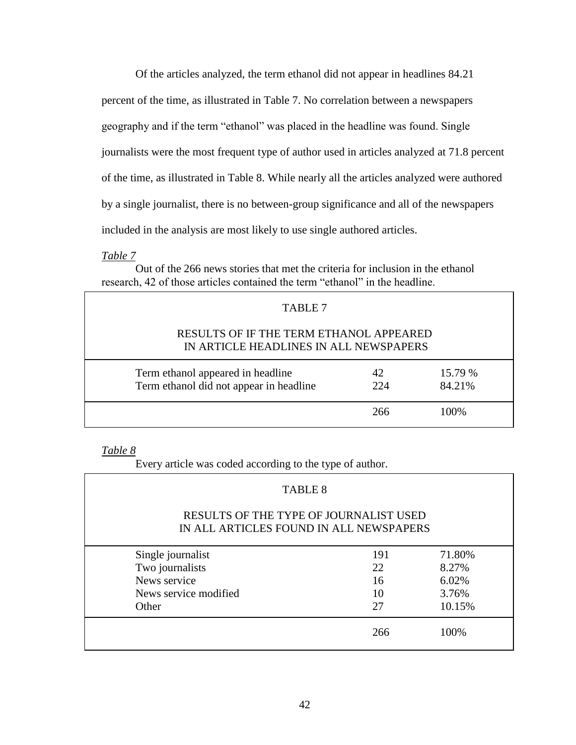Of the articles analyzed, the term ethanol did not appear in headlines 84.21 percent of the time, as illustrated in Table 7. No correlation between a newspapers geography and if the term "ethanol" was placed in the headline was found. Single journalists were the most frequent type of author used in articles analyzed at 71.8 percent of the time, as illustrated in Table 8. While nearly all the articles analyzed were authored by a single journalist, there is no between-group significance and all of the newspapers included in the analysis are most likely to use single authored articles.

*Table 7*

Out of the 266 news stories that met the criteria for inclusion in the ethanol research, 42 of those articles contained the term "ethanol" in the headline.

| TABLE 7                                                                           |            |                   |  |
|-----------------------------------------------------------------------------------|------------|-------------------|--|
| RESULTS OF IF THE TERM ETHANOL APPEARED<br>IN ARTICLE HEADLINES IN ALL NEWSPAPERS |            |                   |  |
| Term ethanol appeared in headline<br>Term ethanol did not appear in headline      | 42.<br>224 | 15.79 %<br>84.21% |  |
|                                                                                   | 266        | 100\%             |  |

*Table 8*

Every article was coded according to the type of author.

# TABLE 8 RESULTS OF THE TYPE OF JOURNALIST USED IN ALL ARTICLES FOUND IN ALL NEWSPAPERS Single journalist 191 71.80% Two journalists 22 8.27% News service 16 6.02%

| News service modified | 10  | 3.76%  |
|-----------------------|-----|--------|
| Other                 | -27 | 10.15% |
|                       | 266 | 100%   |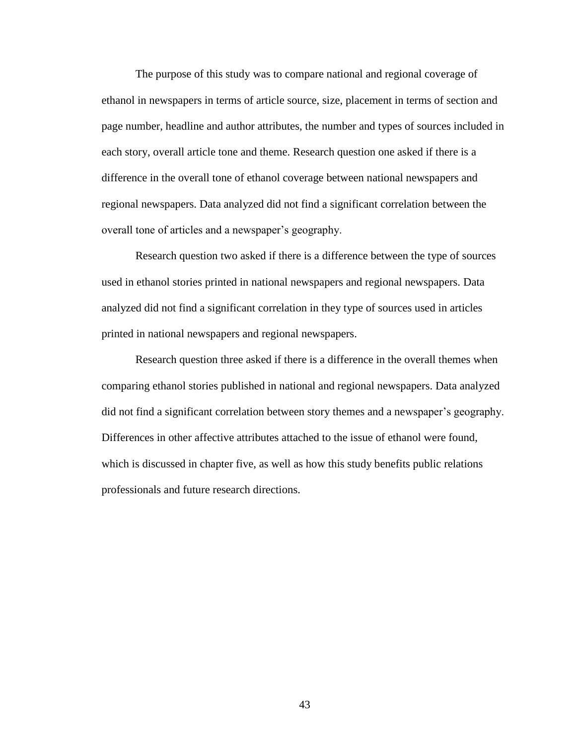The purpose of this study was to compare national and regional coverage of ethanol in newspapers in terms of article source, size, placement in terms of section and page number, headline and author attributes, the number and types of sources included in each story, overall article tone and theme. Research question one asked if there is a difference in the overall tone of ethanol coverage between national newspapers and regional newspapers. Data analyzed did not find a significant correlation between the overall tone of articles and a newspaper"s geography.

Research question two asked if there is a difference between the type of sources used in ethanol stories printed in national newspapers and regional newspapers. Data analyzed did not find a significant correlation in they type of sources used in articles printed in national newspapers and regional newspapers.

Research question three asked if there is a difference in the overall themes when comparing ethanol stories published in national and regional newspapers. Data analyzed did not find a significant correlation between story themes and a newspaper"s geography. Differences in other affective attributes attached to the issue of ethanol were found, which is discussed in chapter five, as well as how this study benefits public relations professionals and future research directions.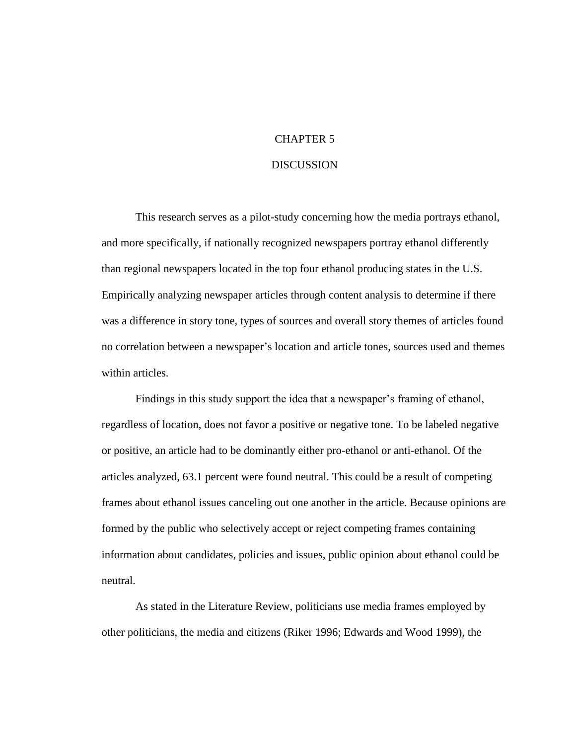### CHAPTER 5

### DISCUSSION

This research serves as a pilot-study concerning how the media portrays ethanol, and more specifically, if nationally recognized newspapers portray ethanol differently than regional newspapers located in the top four ethanol producing states in the U.S. Empirically analyzing newspaper articles through content analysis to determine if there was a difference in story tone, types of sources and overall story themes of articles found no correlation between a newspaper"s location and article tones, sources used and themes within articles.

Findings in this study support the idea that a newspaper's framing of ethanol, regardless of location, does not favor a positive or negative tone. To be labeled negative or positive, an article had to be dominantly either pro-ethanol or anti-ethanol. Of the articles analyzed, 63.1 percent were found neutral. This could be a result of competing frames about ethanol issues canceling out one another in the article. Because opinions are formed by the public who selectively accept or reject competing frames containing information about candidates, policies and issues, public opinion about ethanol could be neutral.

As stated in the Literature Review, politicians use media frames employed by other politicians, the media and citizens (Riker 1996; Edwards and Wood 1999), the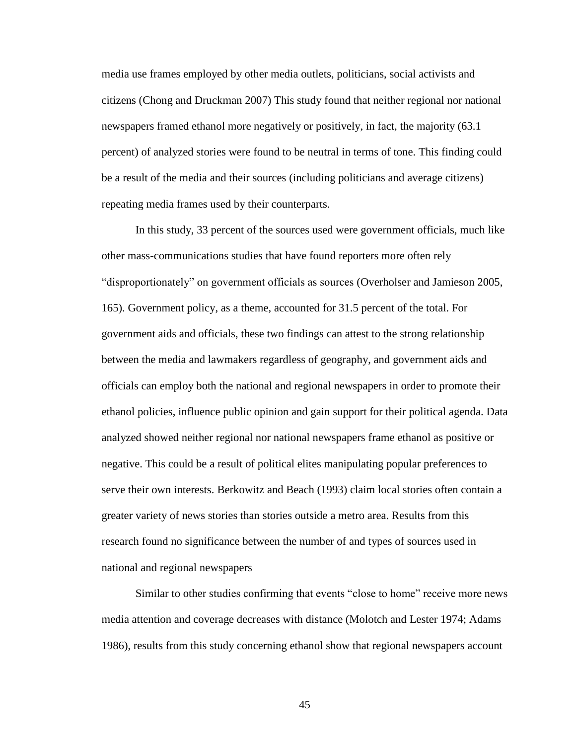media use frames employed by other media outlets, politicians, social activists and citizens (Chong and Druckman 2007) This study found that neither regional nor national newspapers framed ethanol more negatively or positively, in fact, the majority (63.1 percent) of analyzed stories were found to be neutral in terms of tone. This finding could be a result of the media and their sources (including politicians and average citizens) repeating media frames used by their counterparts.

In this study, 33 percent of the sources used were government officials, much like other mass-communications studies that have found reporters more often rely "disproportionately" on government officials as sources (Overholser and Jamieson 2005, 165). Government policy, as a theme, accounted for 31.5 percent of the total. For government aids and officials, these two findings can attest to the strong relationship between the media and lawmakers regardless of geography, and government aids and officials can employ both the national and regional newspapers in order to promote their ethanol policies, influence public opinion and gain support for their political agenda. Data analyzed showed neither regional nor national newspapers frame ethanol as positive or negative. This could be a result of political elites manipulating popular preferences to serve their own interests. Berkowitz and Beach (1993) claim local stories often contain a greater variety of news stories than stories outside a metro area. Results from this research found no significance between the number of and types of sources used in national and regional newspapers

Similar to other studies confirming that events "close to home" receive more news media attention and coverage decreases with distance (Molotch and Lester 1974; Adams 1986), results from this study concerning ethanol show that regional newspapers account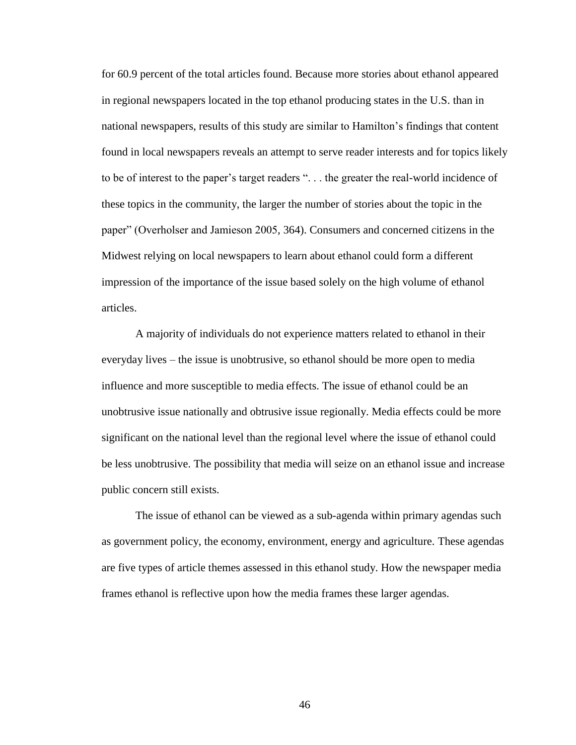for 60.9 percent of the total articles found. Because more stories about ethanol appeared in regional newspapers located in the top ethanol producing states in the U.S. than in national newspapers, results of this study are similar to Hamilton"s findings that content found in local newspapers reveals an attempt to serve reader interests and for topics likely to be of interest to the paper"s target readers ". . . the greater the real-world incidence of these topics in the community, the larger the number of stories about the topic in the paper" (Overholser and Jamieson 2005, 364). Consumers and concerned citizens in the Midwest relying on local newspapers to learn about ethanol could form a different impression of the importance of the issue based solely on the high volume of ethanol articles.

A majority of individuals do not experience matters related to ethanol in their everyday lives – the issue is unobtrusive, so ethanol should be more open to media influence and more susceptible to media effects. The issue of ethanol could be an unobtrusive issue nationally and obtrusive issue regionally. Media effects could be more significant on the national level than the regional level where the issue of ethanol could be less unobtrusive. The possibility that media will seize on an ethanol issue and increase public concern still exists.

The issue of ethanol can be viewed as a sub-agenda within primary agendas such as government policy, the economy, environment, energy and agriculture. These agendas are five types of article themes assessed in this ethanol study. How the newspaper media frames ethanol is reflective upon how the media frames these larger agendas.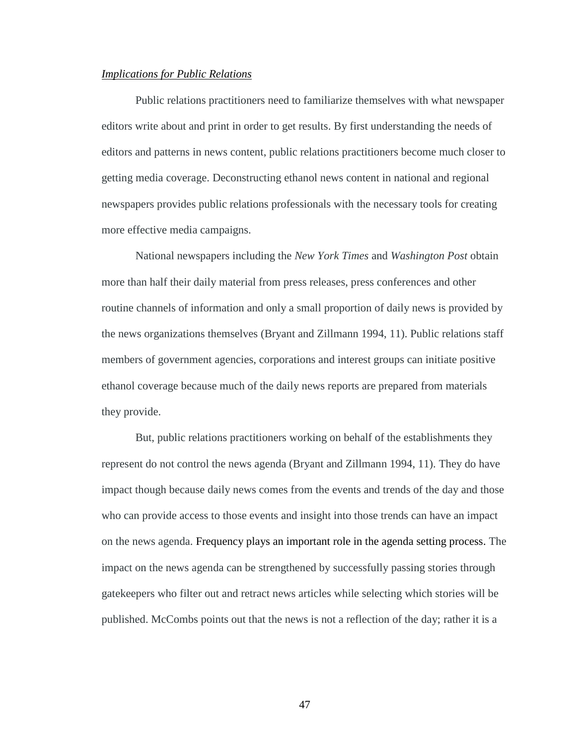#### *Implications for Public Relations*

Public relations practitioners need to familiarize themselves with what newspaper editors write about and print in order to get results. By first understanding the needs of editors and patterns in news content, public relations practitioners become much closer to getting media coverage. Deconstructing ethanol news content in national and regional newspapers provides public relations professionals with the necessary tools for creating more effective media campaigns.

National newspapers including the *New York Times* and *Washington Post* obtain more than half their daily material from press releases, press conferences and other routine channels of information and only a small proportion of daily news is provided by the news organizations themselves (Bryant and Zillmann 1994, 11). Public relations staff members of government agencies, corporations and interest groups can initiate positive ethanol coverage because much of the daily news reports are prepared from materials they provide.

But, public relations practitioners working on behalf of the establishments they represent do not control the news agenda (Bryant and Zillmann 1994, 11). They do have impact though because daily news comes from the events and trends of the day and those who can provide access to those events and insight into those trends can have an impact on the news agenda. Frequency plays an important role in the agenda setting process. The impact on the news agenda can be strengthened by successfully passing stories through gatekeepers who filter out and retract news articles while selecting which stories will be published. McCombs points out that the news is not a reflection of the day; rather it is a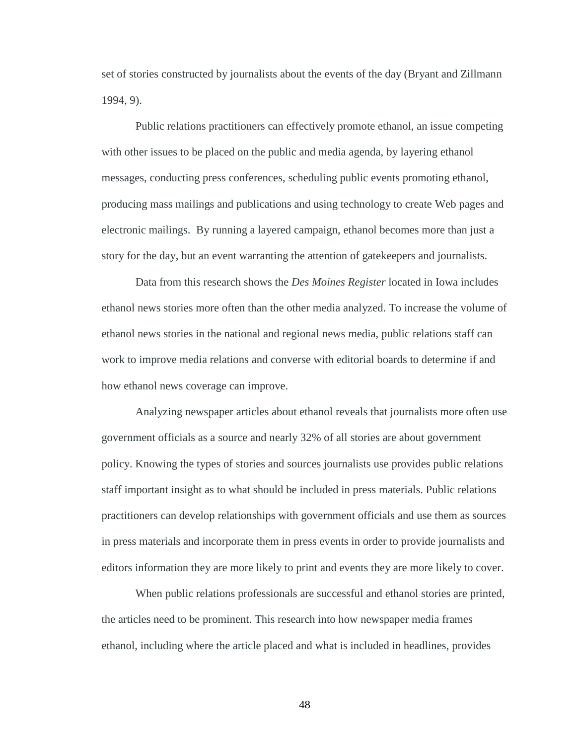set of stories constructed by journalists about the events of the day (Bryant and Zillmann 1994, 9).

Public relations practitioners can effectively promote ethanol, an issue competing with other issues to be placed on the public and media agenda, by layering ethanol messages, conducting press conferences, scheduling public events promoting ethanol, producing mass mailings and publications and using technology to create Web pages and electronic mailings. By running a layered campaign, ethanol becomes more than just a story for the day, but an event warranting the attention of gatekeepers and journalists.

Data from this research shows the *Des Moines Register* located in Iowa includes ethanol news stories more often than the other media analyzed. To increase the volume of ethanol news stories in the national and regional news media, public relations staff can work to improve media relations and converse with editorial boards to determine if and how ethanol news coverage can improve.

Analyzing newspaper articles about ethanol reveals that journalists more often use government officials as a source and nearly 32% of all stories are about government policy. Knowing the types of stories and sources journalists use provides public relations staff important insight as to what should be included in press materials. Public relations practitioners can develop relationships with government officials and use them as sources in press materials and incorporate them in press events in order to provide journalists and editors information they are more likely to print and events they are more likely to cover.

When public relations professionals are successful and ethanol stories are printed, the articles need to be prominent. This research into how newspaper media frames ethanol, including where the article placed and what is included in headlines, provides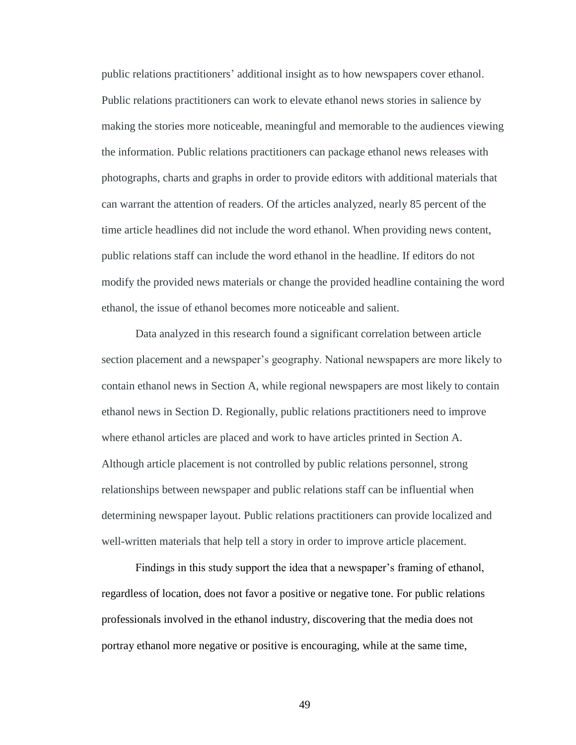public relations practitioners" additional insight as to how newspapers cover ethanol. Public relations practitioners can work to elevate ethanol news stories in salience by making the stories more noticeable, meaningful and memorable to the audiences viewing the information. Public relations practitioners can package ethanol news releases with photographs, charts and graphs in order to provide editors with additional materials that can warrant the attention of readers. Of the articles analyzed, nearly 85 percent of the time article headlines did not include the word ethanol. When providing news content, public relations staff can include the word ethanol in the headline. If editors do not modify the provided news materials or change the provided headline containing the word ethanol, the issue of ethanol becomes more noticeable and salient.

Data analyzed in this research found a significant correlation between article section placement and a newspaper"s geography. National newspapers are more likely to contain ethanol news in Section A, while regional newspapers are most likely to contain ethanol news in Section D. Regionally, public relations practitioners need to improve where ethanol articles are placed and work to have articles printed in Section A. Although article placement is not controlled by public relations personnel, strong relationships between newspaper and public relations staff can be influential when determining newspaper layout. Public relations practitioners can provide localized and well-written materials that help tell a story in order to improve article placement.

Findings in this study support the idea that a newspaper's framing of ethanol, regardless of location, does not favor a positive or negative tone. For public relations professionals involved in the ethanol industry, discovering that the media does not portray ethanol more negative or positive is encouraging, while at the same time,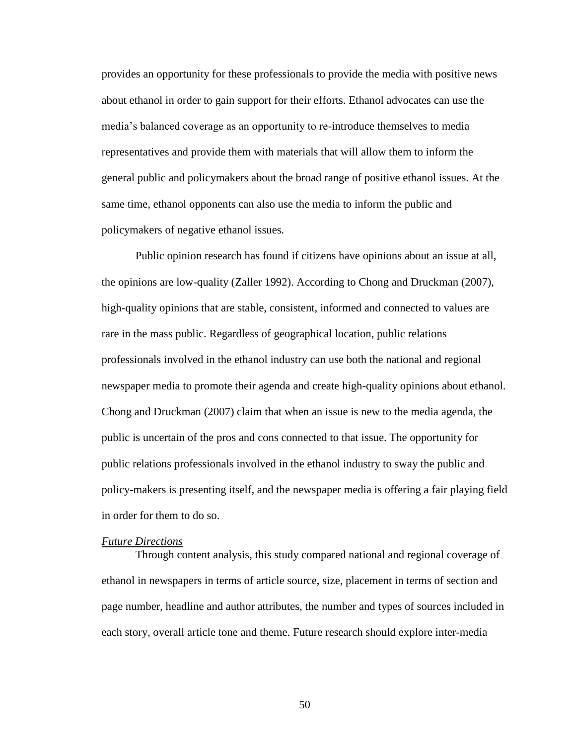provides an opportunity for these professionals to provide the media with positive news about ethanol in order to gain support for their efforts. Ethanol advocates can use the media"s balanced coverage as an opportunity to re-introduce themselves to media representatives and provide them with materials that will allow them to inform the general public and policymakers about the broad range of positive ethanol issues. At the same time, ethanol opponents can also use the media to inform the public and policymakers of negative ethanol issues.

Public opinion research has found if citizens have opinions about an issue at all, the opinions are low-quality (Zaller 1992). According to Chong and Druckman (2007), high-quality opinions that are stable, consistent, informed and connected to values are rare in the mass public. Regardless of geographical location, public relations professionals involved in the ethanol industry can use both the national and regional newspaper media to promote their agenda and create high-quality opinions about ethanol. Chong and Druckman (2007) claim that when an issue is new to the media agenda, the public is uncertain of the pros and cons connected to that issue. The opportunity for public relations professionals involved in the ethanol industry to sway the public and policy-makers is presenting itself, and the newspaper media is offering a fair playing field in order for them to do so.

#### *Future Directions*

Through content analysis, this study compared national and regional coverage of ethanol in newspapers in terms of article source, size, placement in terms of section and page number, headline and author attributes, the number and types of sources included in each story, overall article tone and theme. Future research should explore inter-media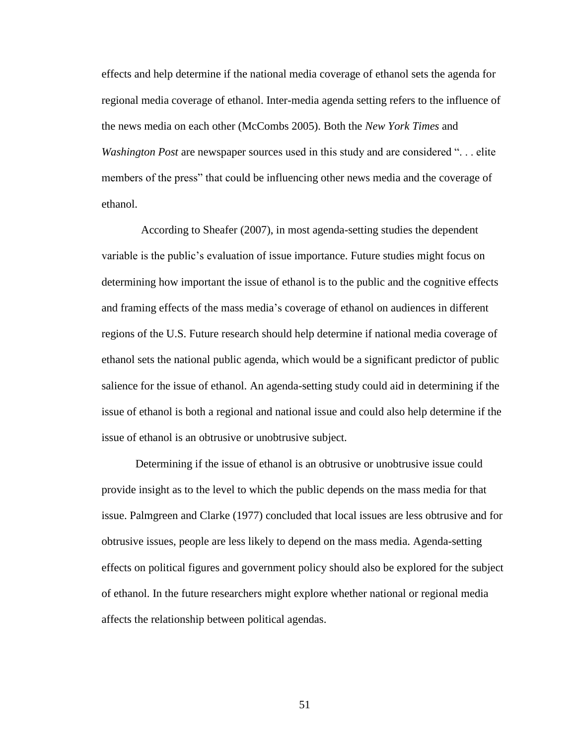effects and help determine if the national media coverage of ethanol sets the agenda for regional media coverage of ethanol. Inter-media agenda setting refers to the influence of the news media on each other (McCombs 2005). Both the *New York Times* and *Washington Post* are newspaper sources used in this study and are considered ". . . elite members of the press" that could be influencing other news media and the coverage of ethanol.

 According to Sheafer (2007), in most agenda-setting studies the dependent variable is the public"s evaluation of issue importance. Future studies might focus on determining how important the issue of ethanol is to the public and the cognitive effects and framing effects of the mass media"s coverage of ethanol on audiences in different regions of the U.S. Future research should help determine if national media coverage of ethanol sets the national public agenda, which would be a significant predictor of public salience for the issue of ethanol. An agenda-setting study could aid in determining if the issue of ethanol is both a regional and national issue and could also help determine if the issue of ethanol is an obtrusive or unobtrusive subject.

Determining if the issue of ethanol is an obtrusive or unobtrusive issue could provide insight as to the level to which the public depends on the mass media for that issue. Palmgreen and Clarke (1977) concluded that local issues are less obtrusive and for obtrusive issues, people are less likely to depend on the mass media. Agenda-setting effects on political figures and government policy should also be explored for the subject of ethanol. In the future researchers might explore whether national or regional media affects the relationship between political agendas.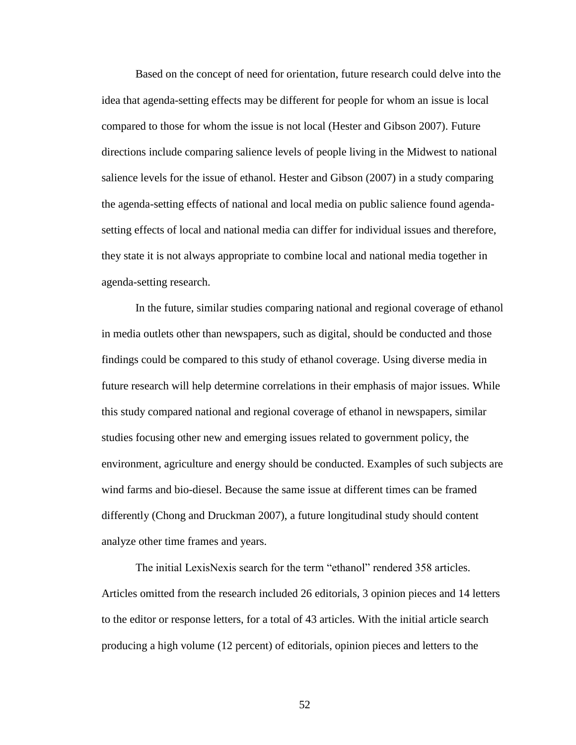Based on the concept of need for orientation, future research could delve into the idea that agenda-setting effects may be different for people for whom an issue is local compared to those for whom the issue is not local (Hester and Gibson 2007). Future directions include comparing salience levels of people living in the Midwest to national salience levels for the issue of ethanol. Hester and Gibson (2007) in a study comparing the agenda-setting effects of national and local media on public salience found agendasetting effects of local and national media can differ for individual issues and therefore, they state it is not always appropriate to combine local and national media together in agenda-setting research.

In the future, similar studies comparing national and regional coverage of ethanol in media outlets other than newspapers, such as digital, should be conducted and those findings could be compared to this study of ethanol coverage. Using diverse media in future research will help determine correlations in their emphasis of major issues. While this study compared national and regional coverage of ethanol in newspapers, similar studies focusing other new and emerging issues related to government policy, the environment, agriculture and energy should be conducted. Examples of such subjects are wind farms and bio-diesel. Because the same issue at different times can be framed differently (Chong and Druckman 2007), a future longitudinal study should content analyze other time frames and years.

The initial LexisNexis search for the term "ethanol" rendered 358 articles. Articles omitted from the research included 26 editorials, 3 opinion pieces and 14 letters to the editor or response letters, for a total of 43 articles. With the initial article search producing a high volume (12 percent) of editorials, opinion pieces and letters to the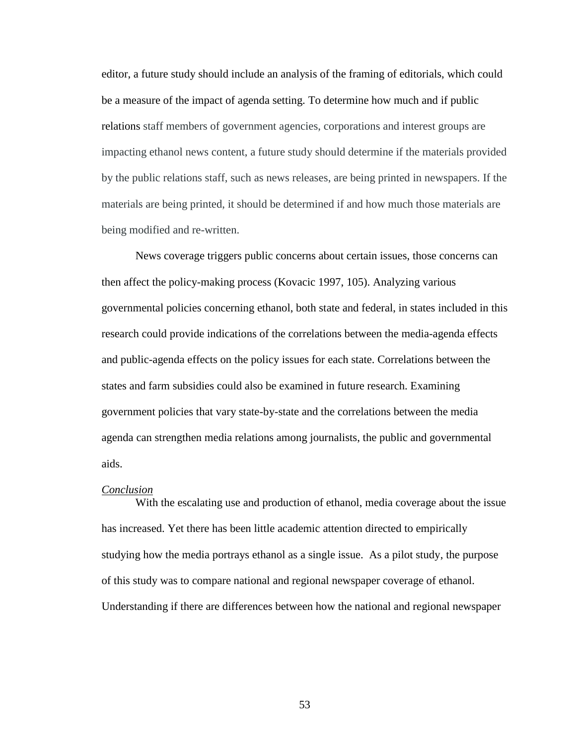editor, a future study should include an analysis of the framing of editorials, which could be a measure of the impact of agenda setting. To determine how much and if public relations staff members of government agencies, corporations and interest groups are impacting ethanol news content, a future study should determine if the materials provided by the public relations staff, such as news releases, are being printed in newspapers. If the materials are being printed, it should be determined if and how much those materials are being modified and re-written.

News coverage triggers public concerns about certain issues, those concerns can then affect the policy-making process (Kovacic 1997, 105). Analyzing various governmental policies concerning ethanol, both state and federal, in states included in this research could provide indications of the correlations between the media-agenda effects and public-agenda effects on the policy issues for each state. Correlations between the states and farm subsidies could also be examined in future research. Examining government policies that vary state-by-state and the correlations between the media agenda can strengthen media relations among journalists, the public and governmental aids.

#### *Conclusion*

With the escalating use and production of ethanol, media coverage about the issue has increased. Yet there has been little academic attention directed to empirically studying how the media portrays ethanol as a single issue. As a pilot study, the purpose of this study was to compare national and regional newspaper coverage of ethanol. Understanding if there are differences between how the national and regional newspaper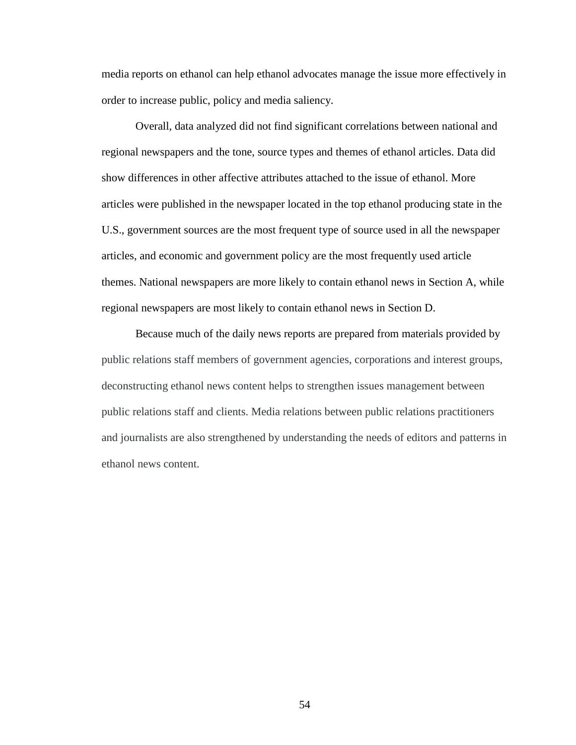media reports on ethanol can help ethanol advocates manage the issue more effectively in order to increase public, policy and media saliency.

Overall, data analyzed did not find significant correlations between national and regional newspapers and the tone, source types and themes of ethanol articles. Data did show differences in other affective attributes attached to the issue of ethanol. More articles were published in the newspaper located in the top ethanol producing state in the U.S., government sources are the most frequent type of source used in all the newspaper articles, and economic and government policy are the most frequently used article themes. National newspapers are more likely to contain ethanol news in Section A, while regional newspapers are most likely to contain ethanol news in Section D.

Because much of the daily news reports are prepared from materials provided by public relations staff members of government agencies, corporations and interest groups, deconstructing ethanol news content helps to strengthen issues management between public relations staff and clients. Media relations between public relations practitioners and journalists are also strengthened by understanding the needs of editors and patterns in ethanol news content.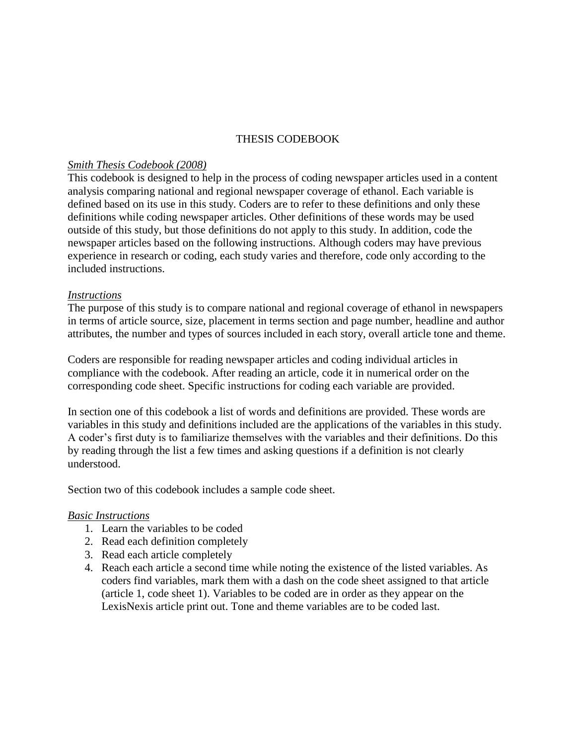### THESIS CODEBOOK

### *Smith Thesis Codebook (2008)*

This codebook is designed to help in the process of coding newspaper articles used in a content analysis comparing national and regional newspaper coverage of ethanol. Each variable is defined based on its use in this study. Coders are to refer to these definitions and only these definitions while coding newspaper articles. Other definitions of these words may be used outside of this study, but those definitions do not apply to this study. In addition, code the newspaper articles based on the following instructions. Although coders may have previous experience in research or coding, each study varies and therefore, code only according to the included instructions.

### *Instructions*

The purpose of this study is to compare national and regional coverage of ethanol in newspapers in terms of article source, size, placement in terms section and page number, headline and author attributes, the number and types of sources included in each story, overall article tone and theme.

Coders are responsible for reading newspaper articles and coding individual articles in compliance with the codebook. After reading an article, code it in numerical order on the corresponding code sheet. Specific instructions for coding each variable are provided.

In section one of this codebook a list of words and definitions are provided. These words are variables in this study and definitions included are the applications of the variables in this study. A coder"s first duty is to familiarize themselves with the variables and their definitions. Do this by reading through the list a few times and asking questions if a definition is not clearly understood.

Section two of this codebook includes a sample code sheet.

### *Basic Instructions*

- 1. Learn the variables to be coded
- 2. Read each definition completely
- 3. Read each article completely
- 4. Reach each article a second time while noting the existence of the listed variables. As coders find variables, mark them with a dash on the code sheet assigned to that article (article 1, code sheet 1). Variables to be coded are in order as they appear on the LexisNexis article print out. Tone and theme variables are to be coded last.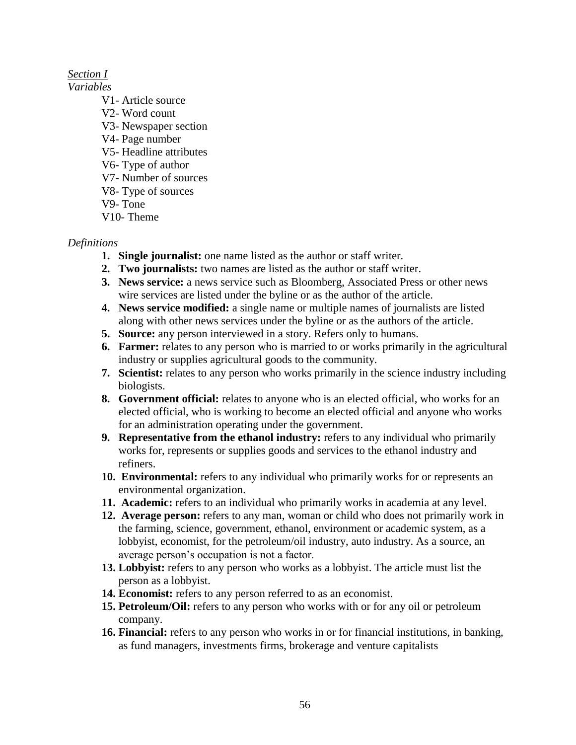# *Section I*

*Variables*

- V1- Article source
- V2- Word count
- V3- Newspaper section
- V4- Page number
- V5- Headline attributes
- V6- Type of author
- V7- Number of sources
- V8- Type of sources
- V9- Tone
- V10- Theme

## *Definitions*

- **1. Single journalist:** one name listed as the author or staff writer.
- **2. Two journalists:** two names are listed as the author or staff writer.
- **3. News service:** a news service such as Bloomberg, Associated Press or other news wire services are listed under the byline or as the author of the article.
- **4. News service modified:** a single name or multiple names of journalists are listed along with other news services under the byline or as the authors of the article.
- **5. Source:** any person interviewed in a story. Refers only to humans.
- **6. Farmer:** relates to any person who is married to or works primarily in the agricultural industry or supplies agricultural goods to the community.
- **7. Scientist:** relates to any person who works primarily in the science industry including biologists.
- **8. Government official:** relates to anyone who is an elected official, who works for an elected official, who is working to become an elected official and anyone who works for an administration operating under the government.
- **9. Representative from the ethanol industry:** refers to any individual who primarily works for, represents or supplies goods and services to the ethanol industry and refiners.
- **10. Environmental:** refers to any individual who primarily works for or represents an environmental organization.
- **11. Academic:** refers to an individual who primarily works in academia at any level.
- **12. Average person:** refers to any man, woman or child who does not primarily work in the farming, science, government, ethanol, environment or academic system, as a lobbyist, economist, for the petroleum/oil industry, auto industry. As a source, an average person"s occupation is not a factor.
- **13. Lobbyist:** refers to any person who works as a lobbyist. The article must list the person as a lobbyist.
- **14. Economist:** refers to any person referred to as an economist.
- **15. Petroleum/Oil:** refers to any person who works with or for any oil or petroleum company.
- **16. Financial:** refers to any person who works in or for financial institutions, in banking, as fund managers, investments firms, brokerage and venture capitalists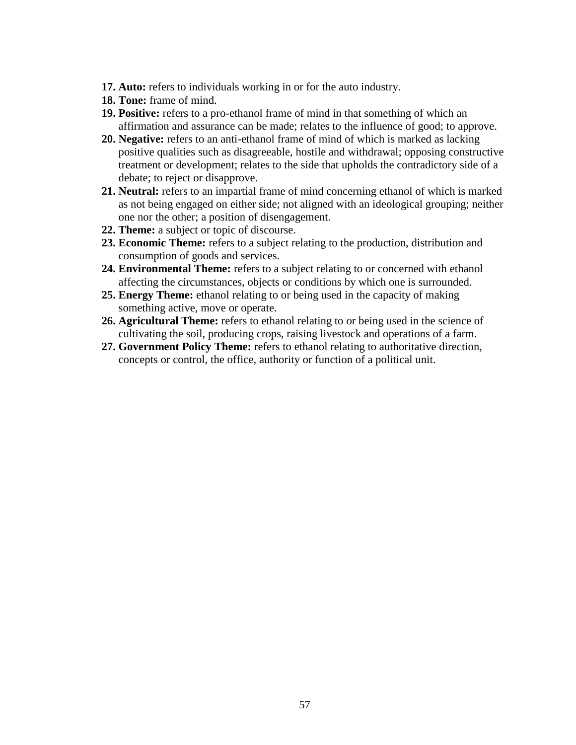- **17. Auto:** refers to individuals working in or for the auto industry.
- **18. Tone:** frame of mind.
- **19. Positive:** refers to a pro-ethanol frame of mind in that something of which an affirmation and assurance can be made; relates to the influence of good; to approve.
- **20. Negative:** refers to an anti-ethanol frame of mind of which is marked as lacking positive qualities such as disagreeable, hostile and withdrawal; opposing constructive treatment or development; relates to the side that upholds the contradictory side of a debate; to reject or disapprove.
- **21. Neutral:** refers to an impartial frame of mind concerning ethanol of which is marked as not being engaged on either side; not aligned with an ideological grouping; neither one nor the other; a position of disengagement.
- **22. Theme:** a subject or topic of discourse.
- **23. Economic Theme:** refers to a subject relating to the production, distribution and consumption of goods and services.
- **24. Environmental Theme:** refers to a subject relating to or concerned with ethanol affecting the circumstances, objects or conditions by which one is surrounded.
- **25. Energy Theme:** ethanol relating to or being used in the capacity of making something active, move or operate.
- **26. Agricultural Theme:** refers to ethanol relating to or being used in the science of cultivating the soil, producing crops, raising livestock and operations of a farm.
- **27. Government Policy Theme:** refers to ethanol relating to authoritative direction, concepts or control, the office, authority or function of a political unit.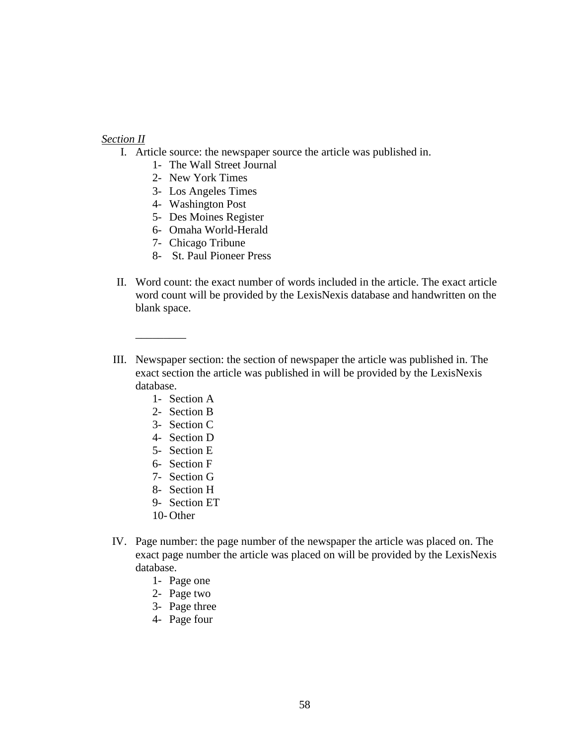### *Section II*

- I. Article source: the newspaper source the article was published in.
	- 1- The Wall Street Journal
	- 2- New York Times
	- 3- Los Angeles Times
	- 4- Washington Post
	- 5- Des Moines Register
	- 6- Omaha World-Herald
	- 7- Chicago Tribune
	- 8- St. Paul Pioneer Press
- II. Word count: the exact number of words included in the article. The exact article word count will be provided by the LexisNexis database and handwritten on the blank space.
- III. Newspaper section: the section of newspaper the article was published in. The exact section the article was published in will be provided by the LexisNexis database.
	- 1- Section A

\_\_\_\_\_\_\_\_\_

- 2- Section B
- 3- Section C
- 4- Section D
- 5- Section E
- 6- Section F
- 7- Section G
- 8- Section H
- 9- Section ET
- 10- Other
- IV. Page number: the page number of the newspaper the article was placed on. The exact page number the article was placed on will be provided by the LexisNexis database.
	- 1- Page one
	- 2- Page two
	- 3- Page three
	- 4- Page four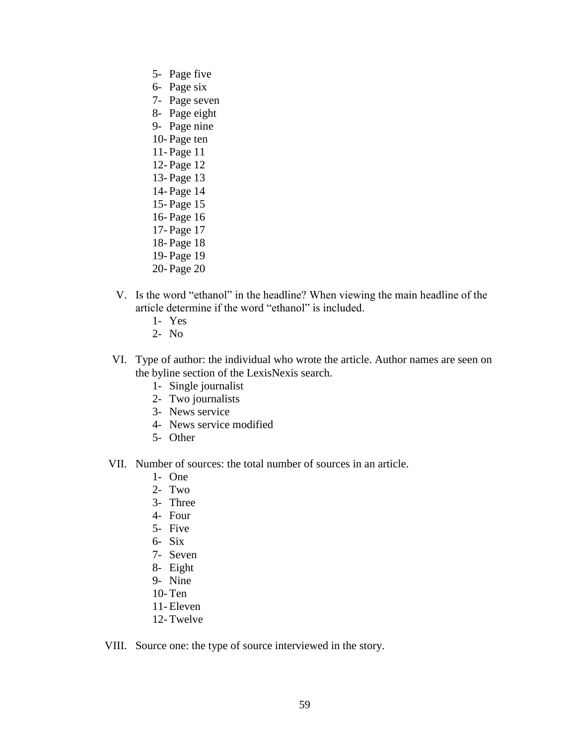- 5- Page five
- 6- Page six
- 7- Page seven
- 8- Page eight
- 9- Page nine
- 10- Page ten
- 11- Page 11
- 12- Page 12
- 13- Page 13
- 14- Page 14
- 15- Page 15
- 16- Page 16
- 17- Page 17
- 18- Page 18
- 19- Page 19
- 20- Page 20
- V. Is the word "ethanol" in the headline? When viewing the main headline of the article determine if the word "ethanol" is included.
	- 1- Yes
	- 2- No
- VI. Type of author: the individual who wrote the article. Author names are seen on the byline section of the LexisNexis search.
	- 1- Single journalist
	- 2- Two journalists
	- 3- News service
	- 4- News service modified
	- 5- Other
- VII. Number of sources: the total number of sources in an article.
	- 1- One
	- $2 Two$
	- 3- Three
	- 4- Four
	- 5- Five
	- 6- Six
	- 7- Seven
	- 8- Eight
	- 9- Nine
	- 10- Ten
	- 11- Eleven
	- 12- Twelve

VIII. Source one: the type of source interviewed in the story.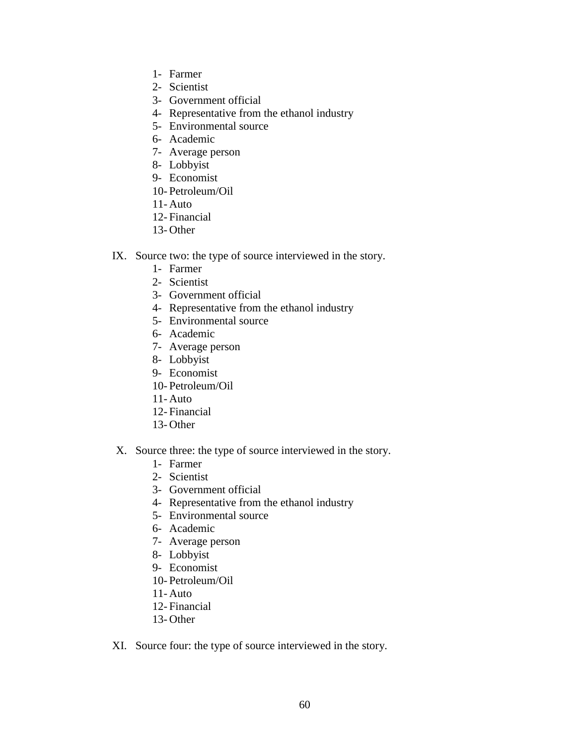- 1- Farmer
- 2- Scientist
- 3- Government official
- 4- Representative from the ethanol industry
- 5- Environmental source
- 6- Academic
- 7- Average person
- 8- Lobbyist
- 9- Economist
- 10- Petroleum/Oil
- 11- Auto
- 12- Financial
- 13- Other
- IX. Source two: the type of source interviewed in the story.
	- 1- Farmer
	- 2- Scientist
	- 3- Government official
	- 4- Representative from the ethanol industry
	- 5- Environmental source
	- 6- Academic
	- 7- Average person
	- 8- Lobbyist
	- 9- Economist
	- 10- Petroleum/Oil
	- 11- Auto
	- 12- Financial
	- 13- Other
- X. Source three: the type of source interviewed in the story.
	- 1- Farmer
	- 2- Scientist
	- 3- Government official
	- 4- Representative from the ethanol industry
	- 5- Environmental source
	- 6- Academic
	- 7- Average person
	- 8- Lobbyist
	- 9- Economist
	- 10- Petroleum/Oil
	- 11- Auto
	- 12- Financial
	- 13- Other
- XI. Source four: the type of source interviewed in the story.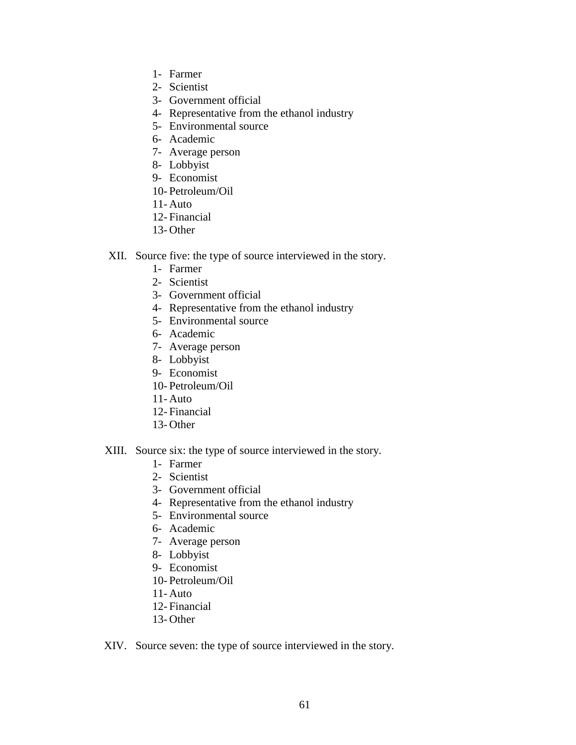- 1- Farmer
- 2- Scientist
- 3- Government official
- 4- Representative from the ethanol industry
- 5- Environmental source
- 6- Academic
- 7- Average person
- 8- Lobbyist
- 9- Economist
- 10- Petroleum/Oil
- 11- Auto
- 12- Financial
- 13- Other
- XII. Source five: the type of source interviewed in the story.
	- 1- Farmer
	- 2- Scientist
	- 3- Government official
	- 4- Representative from the ethanol industry
	- 5- Environmental source
	- 6- Academic
	- 7- Average person
	- 8- Lobbyist
	- 9- Economist
	- 10- Petroleum/Oil
	- 11- Auto
	- 12- Financial
	- 13- Other
- XIII. Source six: the type of source interviewed in the story.
	- 1- Farmer
	- 2- Scientist
	- 3- Government official
	- 4- Representative from the ethanol industry
	- 5- Environmental source
	- 6- Academic
	- 7- Average person
	- 8- Lobbyist
	- 9- Economist
	- 10- Petroleum/Oil
	- 11- Auto
	- 12- Financial
	- 13- Other
- XIV. Source seven: the type of source interviewed in the story.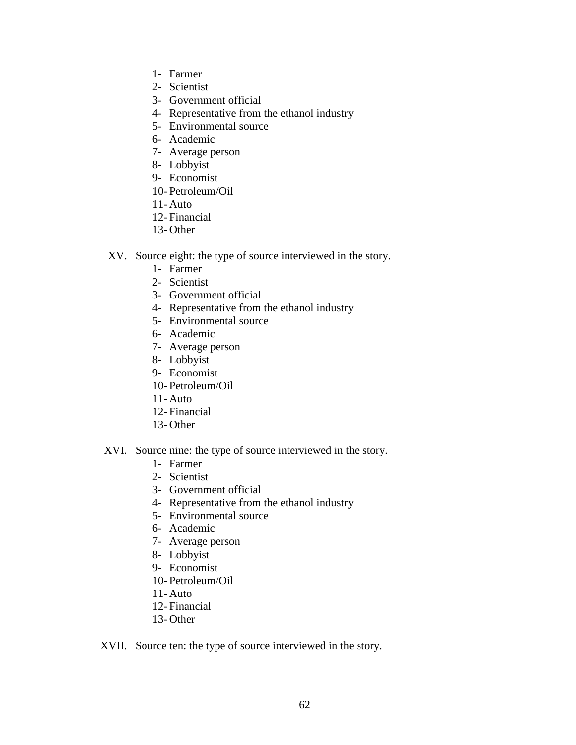- 1- Farmer
- 2- Scientist
- 3- Government official
- 4- Representative from the ethanol industry
- 5- Environmental source
- 6- Academic
- 7- Average person
- 8- Lobbyist
- 9- Economist
- 10- Petroleum/Oil
- 11- Auto
- 12- Financial
- 13- Other
- XV. Source eight: the type of source interviewed in the story.
	- 1- Farmer
	- 2- Scientist
	- 3- Government official
	- 4- Representative from the ethanol industry
	- 5- Environmental source
	- 6- Academic
	- 7- Average person
	- 8- Lobbyist
	- 9- Economist
	- 10- Petroleum/Oil
	- 11- Auto
	- 12- Financial
	- 13- Other

### XVI. Source nine: the type of source interviewed in the story.

- 1- Farmer
- 2- Scientist
- 3- Government official
- 4- Representative from the ethanol industry
- 5- Environmental source
- 6- Academic
- 7- Average person
- 8- Lobbyist
- 9- Economist
- 10- Petroleum/Oil
- 11- Auto
- 12- Financial
- 13- Other

### XVII. Source ten: the type of source interviewed in the story.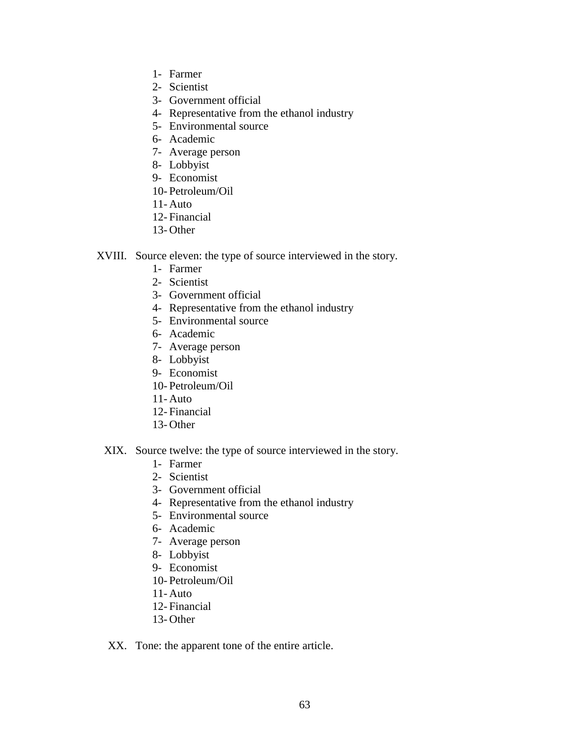- 1- Farmer
- 2- Scientist
- 3- Government official
- 4- Representative from the ethanol industry
- 5- Environmental source
- 6- Academic
- 7- Average person
- 8- Lobbyist
- 9- Economist
- 10- Petroleum/Oil
- 11- Auto
- 12- Financial
- 13- Other
- XVIII. Source eleven: the type of source interviewed in the story.
	- 1- Farmer
	- 2- Scientist
	- 3- Government official
	- 4- Representative from the ethanol industry
	- 5- Environmental source
	- 6- Academic
	- 7- Average person
	- 8- Lobbyist
	- 9- Economist
	- 10- Petroleum/Oil
	- 11- Auto
	- 12- Financial
	- 13- Other
	- XIX. Source twelve: the type of source interviewed in the story.
		- 1- Farmer
		- 2- Scientist
		- 3- Government official
		- 4- Representative from the ethanol industry
		- 5- Environmental source
		- 6- Academic
		- 7- Average person
		- 8- Lobbyist
		- 9- Economist
		- 10- Petroleum/Oil
		- 11- Auto
		- 12- Financial
		- 13- Other

XX. Tone: the apparent tone of the entire article.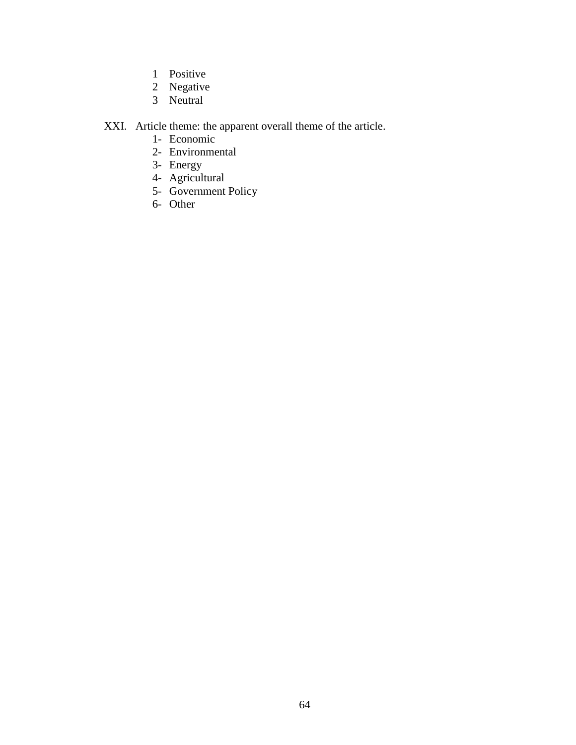- 1 Positive
- 2 Negative
- 3 Neutral

# XXI. Article theme: the apparent overall theme of the article.

- 1- Economic
- 2- Environmental
- 3- Energy
- 4- Agricultural
- 5- Government Policy
- 6- Other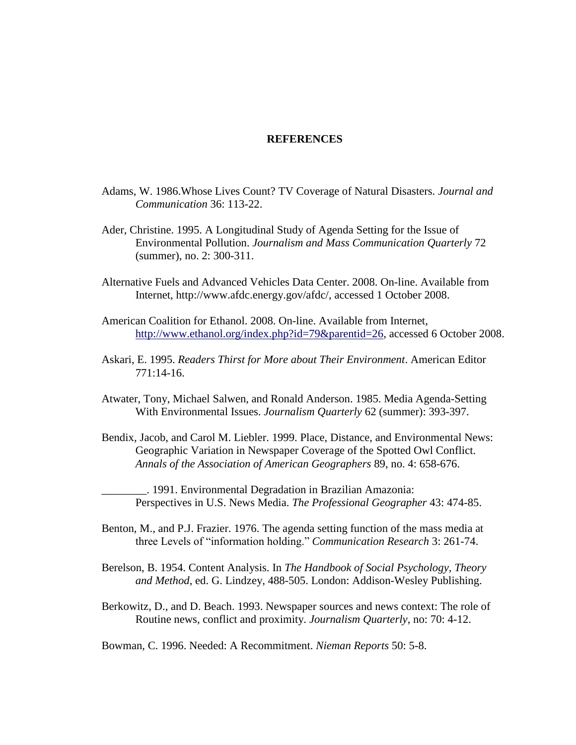### **REFERENCES**

- Adams, W. 1986.Whose Lives Count? TV Coverage of Natural Disasters. *Journal and Communication* 36: 113-22.
- Ader, Christine. 1995. A Longitudinal Study of Agenda Setting for the Issue of Environmental Pollution. *Journalism and Mass Communication Quarterly* 72 (summer), no. 2: 300-311.
- Alternative Fuels and Advanced Vehicles Data Center. 2008. On-line. Available from Internet, http://www.afdc.energy.gov/afdc/, accessed 1 October 2008.
- American Coalition for Ethanol. 2008. On-line. Available from Internet, [http://www.ethanol.org/index.php?id=79&parentid=26,](http://www.ethanol.org/index.php?id=79&parentid=26) accessed 6 October 2008.
- Askari, E. 1995. *Readers Thirst for More about Their Environment*. American Editor 771:14-16.
- Atwater, Tony, Michael Salwen, and Ronald Anderson. 1985. Media Agenda-Setting With Environmental Issues. *Journalism Quarterly* 62 (summer): 393-397.
- Bendix, Jacob, and Carol M. Liebler. 1999. Place, Distance, and Environmental News: Geographic Variation in Newspaper Coverage of the Spotted Owl Conflict. *Annals of the Association of American Geographers* 89, no. 4: 658-676.

\_\_\_\_\_\_\_\_. 1991. Environmental Degradation in Brazilian Amazonia: Perspectives in U.S. News Media. *The Professional Geographer* 43: 474-85.

Benton, M., and P.J. Frazier. 1976. The agenda setting function of the mass media at three Levels of "information holding." *Communication Research* 3: 261-74.

Berelson, B. 1954. Content Analysis. In *The Handbook of Social Psychology, Theory and Method*, ed. G. Lindzey, 488-505. London: Addison-Wesley Publishing.

Berkowitz, D., and D. Beach. 1993. Newspaper sources and news context: The role of Routine news, conflict and proximity. *Journalism Quarterly*, no: 70: 4-12.

Bowman, C. 1996. Needed: A Recommitment. *Nieman Reports* 50: 5-8.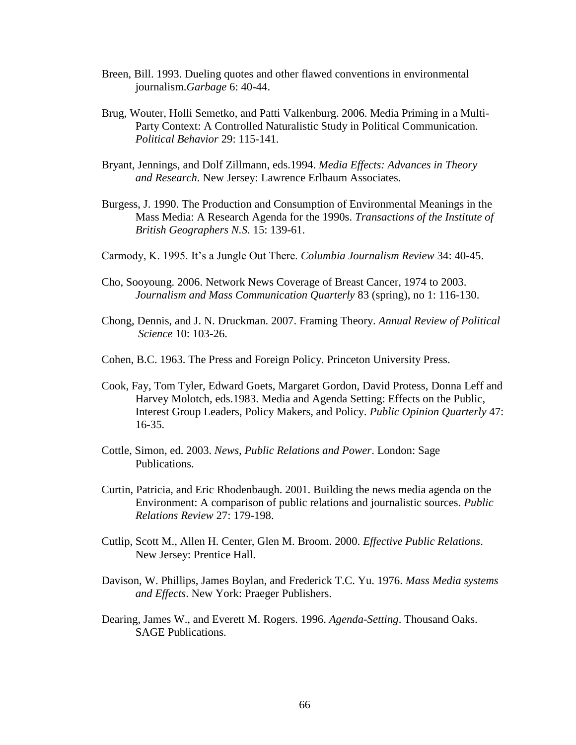- Breen, Bill. 1993. Dueling quotes and other flawed conventions in environmental journalism.*Garbage* 6: 40-44.
- Brug, Wouter, Holli Semetko, and Patti Valkenburg. 2006. Media Priming in a Multi-Party Context: A Controlled Naturalistic Study in Political Communication. *Political Behavior* 29: 115-141.
- Bryant, Jennings, and Dolf Zillmann, eds.1994. *Media Effects: Advances in Theory and Research*. New Jersey: Lawrence Erlbaum Associates.
- Burgess, J. 1990. The Production and Consumption of Environmental Meanings in the Mass Media: A Research Agenda for the 1990s. *Transactions of the Institute of British Geographers N.S.* 15: 139-61.
- Carmody, K. 1995. It's a Jungle Out There. *Columbia Journalism Review* 34: 40-45.
- Cho, Sooyoung. 2006. Network News Coverage of Breast Cancer, 1974 to 2003. *Journalism and Mass Communication Quarterly* 83 (spring), no 1: 116-130.
- Chong, Dennis, and J. N. Druckman. 2007. Framing Theory. *Annual Review of Political Science* 10: 103-26.
- Cohen, B.C. 1963. The Press and Foreign Policy. Princeton University Press.
- Cook, Fay, Tom Tyler, Edward Goets, Margaret Gordon, David Protess, Donna Leff and Harvey Molotch, eds.1983. Media and Agenda Setting: Effects on the Public, Interest Group Leaders, Policy Makers, and Policy. *Public Opinion Quarterly* 47: 16-35.
- Cottle, Simon, ed. 2003. *News, Public Relations and Power*. London: Sage Publications.
- Curtin, Patricia, and Eric Rhodenbaugh. 2001. Building the news media agenda on the Environment: A comparison of public relations and journalistic sources. *Public Relations Review* 27: 179-198.
- Cutlip, Scott M., Allen H. Center, Glen M. Broom. 2000. *Effective Public Relations*. New Jersey: Prentice Hall.
- Davison, W. Phillips, James Boylan, and Frederick T.C. Yu. 1976. *Mass Media systems and Effects*. New York: Praeger Publishers.
- Dearing, James W., and Everett M. Rogers. 1996. *Agenda-Setting*. Thousand Oaks. SAGE Publications.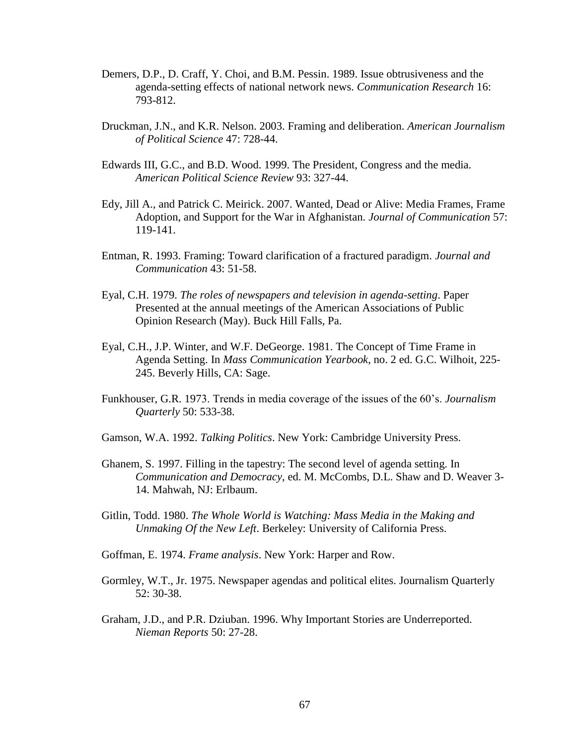- Demers, D.P., D. Craff, Y. Choi, and B.M. Pessin. 1989. Issue obtrusiveness and the agenda-setting effects of national network news. *Communication Research* 16: 793-812.
- Druckman, J.N., and K.R. Nelson. 2003. Framing and deliberation. *American Journalism of Political Science* 47: 728-44.
- Edwards III, G.C., and B.D. Wood. 1999. The President, Congress and the media. *American Political Science Review* 93: 327-44.
- Edy, Jill A., and Patrick C. Meirick. 2007. Wanted, Dead or Alive: Media Frames, Frame Adoption, and Support for the War in Afghanistan. *Journal of Communication* 57: 119-141.
- Entman, R. 1993. Framing: Toward clarification of a fractured paradigm. *Journal and Communication* 43: 51-58.
- Eyal, C.H. 1979. *The roles of newspapers and television in agenda-setting*. Paper Presented at the annual meetings of the American Associations of Public Opinion Research (May). Buck Hill Falls, Pa.
- Eyal, C.H., J.P. Winter, and W.F. DeGeorge. 1981. The Concept of Time Frame in Agenda Setting. In *Mass Communication Yearbook*, no. 2 ed. G.C. Wilhoit, 225- 245. Beverly Hills, CA: Sage.
- Funkhouser, G.R. 1973. Trends in media coverage of the issues of the 60"s. *Journalism Quarterly* 50: 533-38.
- Gamson, W.A. 1992. *Talking Politics*. New York: Cambridge University Press.
- Ghanem, S. 1997. Filling in the tapestry: The second level of agenda setting. In *Communication and Democracy*, ed. M. McCombs, D.L. Shaw and D. Weaver 3- 14. Mahwah, NJ: Erlbaum.
- Gitlin, Todd. 1980. *The Whole World is Watching: Mass Media in the Making and Unmaking Of the New Left*. Berkeley: University of California Press.
- Goffman, E. 1974. *Frame analysis*. New York: Harper and Row.
- Gormley, W.T., Jr. 1975. Newspaper agendas and political elites. Journalism Quarterly 52: 30-38.
- Graham, J.D., and P.R. Dziuban. 1996. Why Important Stories are Underreported. *Nieman Reports* 50: 27-28.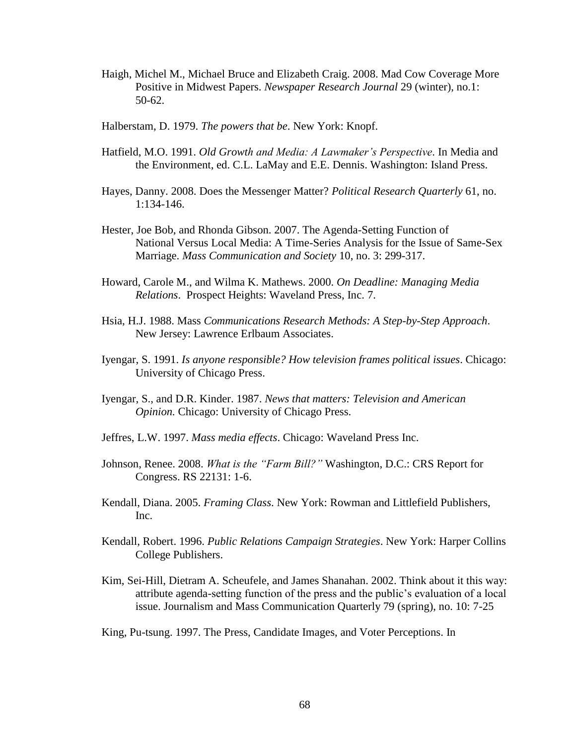- Haigh, Michel M., Michael Bruce and Elizabeth Craig. 2008. Mad Cow Coverage More Positive in Midwest Papers. *Newspaper Research Journal* 29 (winter), no.1: 50-62.
- Halberstam, D. 1979. *The powers that be*. New York: Knopf.
- Hatfield, M.O. 1991. *Old Growth and Media: A Lawmaker's Perspective*. In Media and the Environment, ed. C.L. LaMay and E.E. Dennis. Washington: Island Press.
- Hayes, Danny. 2008. Does the Messenger Matter? *Political Research Quarterly* 61, no. 1:134-146.
- Hester, Joe Bob, and Rhonda Gibson. 2007. The Agenda-Setting Function of National Versus Local Media: A Time-Series Analysis for the Issue of Same-Sex Marriage. *Mass Communication and Society* 10, no. 3: 299-317.
- Howard, Carole M., and Wilma K. Mathews. 2000. *On Deadline: Managing Media Relations*. Prospect Heights: Waveland Press, Inc. 7.
- Hsia, H.J. 1988. Mass *Communications Research Methods: A Step-by-Step Approach*. New Jersey: Lawrence Erlbaum Associates.
- Iyengar, S. 1991. *Is anyone responsible? How television frames political issues*. Chicago: University of Chicago Press.
- Iyengar, S., and D.R. Kinder. 1987. *News that matters: Television and American Opinion.* Chicago: University of Chicago Press.
- Jeffres, L.W. 1997. *Mass media effects*. Chicago: Waveland Press Inc.
- Johnson, Renee. 2008. *What is the "Farm Bill?"* Washington, D.C.: CRS Report for Congress. RS 22131: 1-6.
- Kendall, Diana. 2005. *Framing Class*. New York: Rowman and Littlefield Publishers, Inc.
- Kendall, Robert. 1996. *Public Relations Campaign Strategies*. New York: Harper Collins College Publishers.
- Kim, Sei-Hill, Dietram A. Scheufele, and James Shanahan. 2002. Think about it this way: attribute agenda-setting function of the press and the public"s evaluation of a local issue. Journalism and Mass Communication Quarterly 79 (spring), no. 10: 7-25
- King, Pu-tsung. 1997. The Press, Candidate Images, and Voter Perceptions. In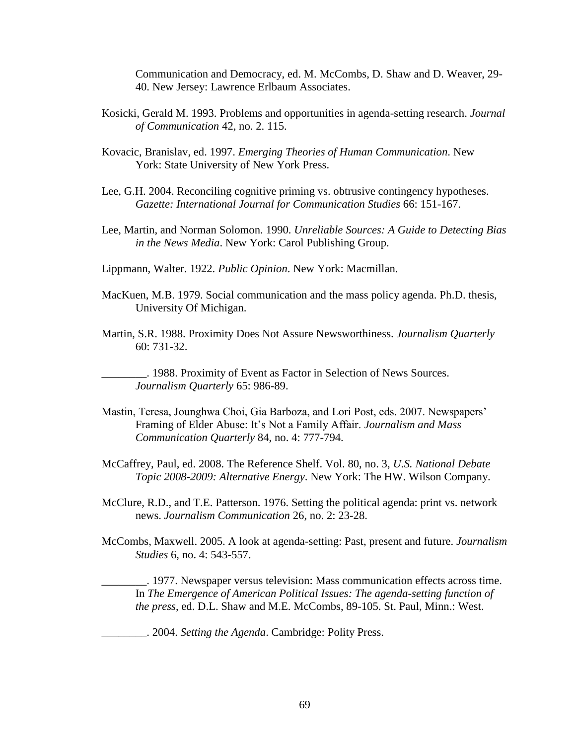Communication and Democracy, ed. M. McCombs, D. Shaw and D. Weaver, 29- 40. New Jersey: Lawrence Erlbaum Associates.

- Kosicki, Gerald M. 1993. Problems and opportunities in agenda-setting research. *Journal of Communication* 42, no. 2. 115.
- Kovacic, Branislav, ed. 1997. *Emerging Theories of Human Communication*. New York: State University of New York Press.
- Lee, G.H. 2004. Reconciling cognitive priming vs. obtrusive contingency hypotheses. *Gazette: International Journal for Communication Studies* 66: 151-167.
- Lee, Martin, and Norman Solomon. 1990. *Unreliable Sources: A Guide to Detecting Bias in the News Media*. New York: Carol Publishing Group.
- Lippmann, Walter. 1922. *Public Opinion*. New York: Macmillan.
- MacKuen, M.B. 1979. Social communication and the mass policy agenda. Ph.D. thesis, University Of Michigan.
- Martin, S.R. 1988. Proximity Does Not Assure Newsworthiness. *Journalism Quarterly* 60: 731-32.

\_\_\_\_\_\_\_\_. 1988. Proximity of Event as Factor in Selection of News Sources. *Journalism Quarterly* 65: 986-89.

- Mastin, Teresa, Jounghwa Choi, Gia Barboza, and Lori Post, eds. 2007. Newspapers" Framing of Elder Abuse: It"s Not a Family Affair. *Journalism and Mass Communication Quarterly* 84, no. 4: 777-794.
- McCaffrey, Paul, ed. 2008. The Reference Shelf. Vol. 80, no. 3, *U.S. National Debate Topic 2008-2009: Alternative Energy*. New York: The HW. Wilson Company.
- McClure, R.D., and T.E. Patterson. 1976. Setting the political agenda: print vs. network news. *Journalism Communication* 26, no. 2: 23-28.
- McCombs, Maxwell. 2005. A look at agenda-setting: Past, present and future. *Journalism Studies* 6, no. 4: 543-557.

\_\_\_\_\_\_\_\_. 1977. Newspaper versus television: Mass communication effects across time. In *The Emergence of American Political Issues: The agenda-setting function of the press*, ed. D.L. Shaw and M.E. McCombs, 89-105. St. Paul, Minn.: West.

\_\_\_\_\_\_\_\_. 2004. *Setting the Agenda*. Cambridge: Polity Press.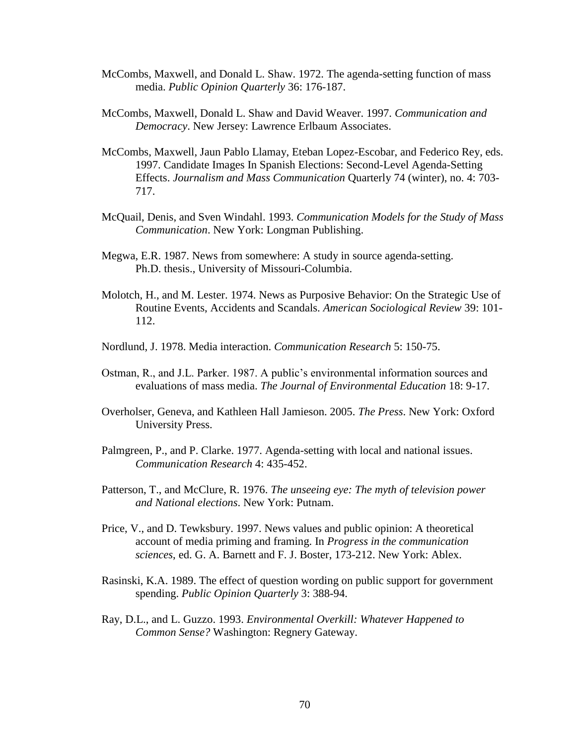- McCombs, Maxwell, and Donald L. Shaw. 1972. The agenda-setting function of mass media. *Public Opinion Quarterly* 36: 176-187.
- McCombs, Maxwell, Donald L. Shaw and David Weaver. 1997. *Communication and Democracy*. New Jersey: Lawrence Erlbaum Associates.
- McCombs, Maxwell, Jaun Pablo Llamay, Eteban Lopez-Escobar, and Federico Rey, eds. 1997. Candidate Images In Spanish Elections: Second-Level Agenda-Setting Effects. *Journalism and Mass Communication* Quarterly 74 (winter), no. 4: 703- 717.
- McQuail, Denis, and Sven Windahl. 1993. *Communication Models for the Study of Mass Communication*. New York: Longman Publishing.
- Megwa, E.R. 1987. News from somewhere: A study in source agenda-setting. Ph.D. thesis., University of Missouri-Columbia.
- Molotch, H., and M. Lester. 1974. News as Purposive Behavior: On the Strategic Use of Routine Events, Accidents and Scandals. *American Sociological Review* 39: 101- 112.
- Nordlund, J. 1978. Media interaction. *Communication Research* 5: 150-75.
- Ostman, R., and J.L. Parker. 1987. A public"s environmental information sources and evaluations of mass media. *The Journal of Environmental Education* 18: 9-17.
- Overholser, Geneva, and Kathleen Hall Jamieson. 2005. *The Press*. New York: Oxford University Press.
- Palmgreen, P., and P. Clarke. 1977. Agenda-setting with local and national issues. *Communication Research* 4: 435-452.
- Patterson, T., and McClure, R. 1976. *The unseeing eye: The myth of television power and National elections*. New York: Putnam.
- Price, V., and D. Tewksbury. 1997. News values and public opinion: A theoretical account of media priming and framing. In *Progress in the communication sciences*, ed. G. A. Barnett and F. J. Boster, 173-212. New York: Ablex.
- Rasinski, K.A. 1989. The effect of question wording on public support for government spending. *Public Opinion Quarterly* 3: 388-94.
- Ray, D.L., and L. Guzzo. 1993. *Environmental Overkill: Whatever Happened to Common Sense?* Washington: Regnery Gateway.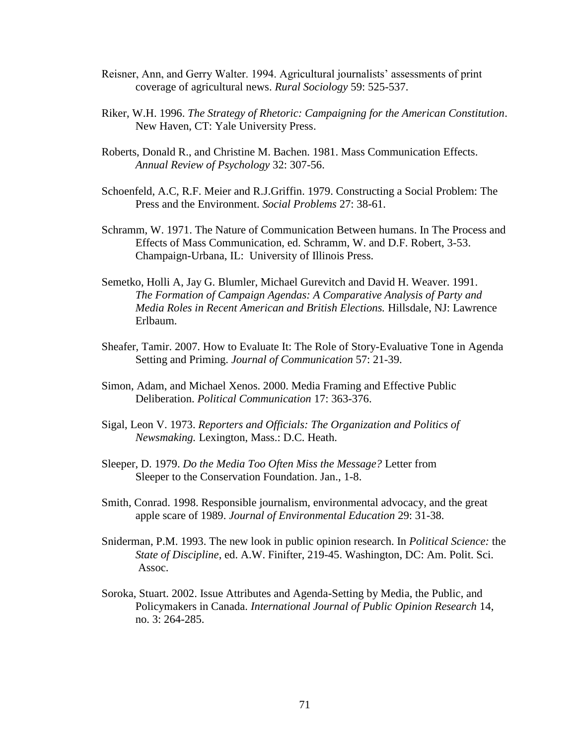- Reisner, Ann, and Gerry Walter. 1994. Agricultural journalists" assessments of print coverage of agricultural news. *Rural Sociology* 59: 525-537.
- Riker, W.H. 1996. *The Strategy of Rhetoric: Campaigning for the American Constitution*. New Haven, CT: Yale University Press.
- Roberts, Donald R., and Christine M. Bachen. 1981. Mass Communication Effects. *Annual Review of Psychology* 32: 307-56.
- Schoenfeld, A.C, R.F. Meier and R.J.Griffin. 1979. Constructing a Social Problem: The Press and the Environment. *Social Problems* 27: 38-61.
- Schramm, W. 1971. The Nature of Communication Between humans. In The Process and Effects of Mass Communication, ed. Schramm, W. and D.F. Robert, 3-53. Champaign-Urbana, IL: University of Illinois Press.
- Semetko, Holli A, Jay G. Blumler, Michael Gurevitch and David H. Weaver. 1991. *The Formation of Campaign Agendas: A Comparative Analysis of Party and Media Roles in Recent American and British Elections.* Hillsdale, NJ: Lawrence Erlbaum.
- Sheafer, Tamir. 2007. How to Evaluate It: The Role of Story-Evaluative Tone in Agenda Setting and Priming. *Journal of Communication* 57: 21-39.
- Simon, Adam, and Michael Xenos. 2000. Media Framing and Effective Public Deliberation. *Political Communication* 17: 363-376.
- Sigal, Leon V. 1973. *Reporters and Officials: The Organization and Politics of Newsmaking.* Lexington, Mass.: D.C. Heath.
- Sleeper, D. 1979. *Do the Media Too Often Miss the Message?* Letter from Sleeper to the Conservation Foundation. Jan., 1-8.
- Smith, Conrad. 1998. Responsible journalism, environmental advocacy, and the great apple scare of 1989. *Journal of Environmental Education* 29: 31-38.
- Sniderman, P.M. 1993. The new look in public opinion research. In *Political Science:* the *State of Discipline*, ed. A.W. Finifter, 219-45. Washington, DC: Am. Polit. Sci. Assoc.
- Soroka, Stuart. 2002. Issue Attributes and Agenda-Setting by Media, the Public, and Policymakers in Canada. *International Journal of Public Opinion Research* 14, no. 3: 264-285.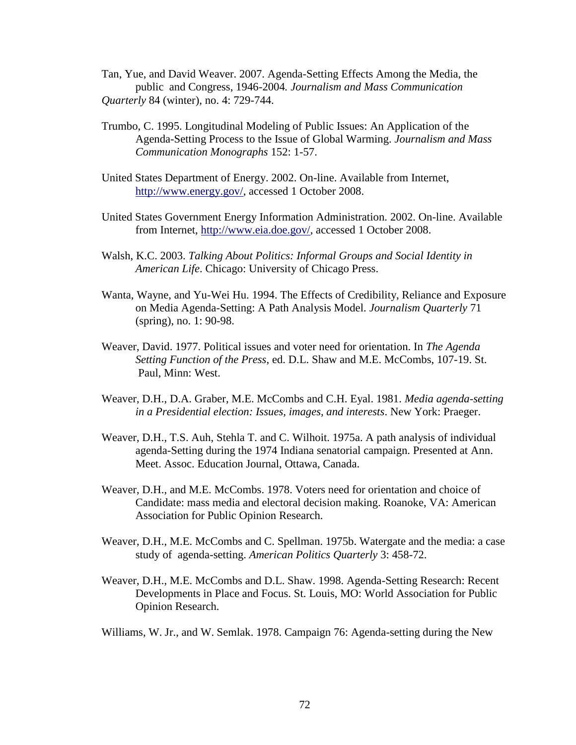- Tan, Yue, and David Weaver. 2007. Agenda-Setting Effects Among the Media, the public and Congress, 1946-2004*. Journalism and Mass Communication Quarterly* 84 (winter), no. 4: 729-744.
- Trumbo, C. 1995. Longitudinal Modeling of Public Issues: An Application of the Agenda-Setting Process to the Issue of Global Warming. *Journalism and Mass Communication Monographs* 152: 1-57.
- United States Department of Energy. 2002. On-line. Available from Internet, [http://www.energy.gov/,](http://www.energy.gov/) accessed 1 October 2008.
- United States Government Energy Information Administration. 2002. On-line. Available from Internet, [http://www.eia.doe.gov/,](http://www.eia.doe.gov/) accessed 1 October 2008.
- Walsh, K.C. 2003. *Talking About Politics: Informal Groups and Social Identity in American Life*. Chicago: University of Chicago Press.
- Wanta, Wayne, and Yu-Wei Hu. 1994. The Effects of Credibility, Reliance and Exposure on Media Agenda-Setting: A Path Analysis Model. *Journalism Quarterly* 71 (spring), no. 1: 90-98.
- Weaver, David. 1977. Political issues and voter need for orientation. In *The Agenda Setting Function of the Press*, ed. D.L. Shaw and M.E. McCombs, 107-19. St. Paul, Minn: West.
- Weaver, D.H., D.A. Graber, M.E. McCombs and C.H. Eyal. 1981. *Media agenda-setting in a Presidential election: Issues, images, and interests*. New York: Praeger.
- Weaver, D.H., T.S. Auh, Stehla T. and C. Wilhoit. 1975a. A path analysis of individual agenda-Setting during the 1974 Indiana senatorial campaign. Presented at Ann. Meet. Assoc. Education Journal, Ottawa, Canada.
- Weaver, D.H., and M.E. McCombs. 1978. Voters need for orientation and choice of Candidate: mass media and electoral decision making. Roanoke, VA: American Association for Public Opinion Research.
- Weaver, D.H., M.E. McCombs and C. Spellman. 1975b. Watergate and the media: a case study of agenda-setting. *American Politics Quarterly* 3: 458-72.
- Weaver, D.H., M.E. McCombs and D.L. Shaw. 1998. Agenda-Setting Research: Recent Developments in Place and Focus. St. Louis, MO: World Association for Public Opinion Research.
- Williams, W. Jr., and W. Semlak. 1978. Campaign 76: Agenda-setting during the New